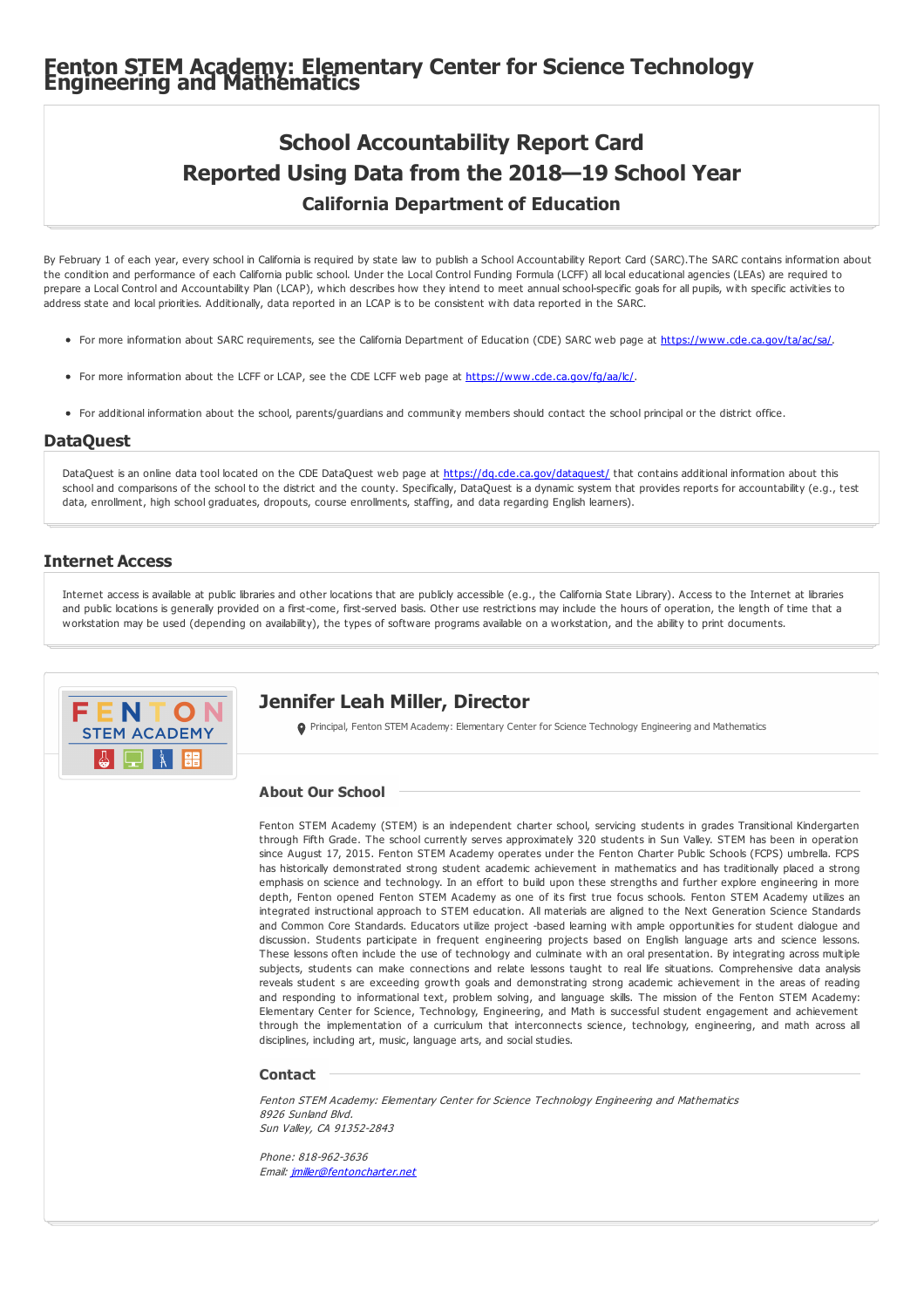## **School Accountability Report Card Reported Using Data from the 2018—19 School Year**

#### **California Department of Education**

By February 1 of each year, every school in California is required by state law to publish a School Accountability Report Card (SARC).The SARC contains information about the condition and performance of each California public school. Under the Local Control Funding Formula (LCFF) all local educational agencies (LEAs) are required to prepare a Local Control and Accountability Plan (LCAP), which describes how they intend to meet annual school-specific goals for all pupils, with specific activities to address state and local priorities. Additionally, data reported in an LCAP is to be consistent with data reported in the SARC.

- For more information about SARC requirements, see the California Department of Education (CDE) SARC web page at <https://www.cde.ca.gov/ta/ac/sa/>.
- For more information about the LCFF or LCAP, see the CDE LCFF web page at <https://www.cde.ca.gov/fg/aa/lc/>.
- For additional information about the school, parents/guardians and community members should contact the school principal or the district office.

#### **DataQuest**

DataQuest is an online data tool located on the CDE DataQuest web page at <https://dq.cde.ca.gov/dataquest/> that contains additional information about this school and comparisons of the school to the district and the county. Specifically, DataQuest is a dynamic system that provides reports for accountability (e.g., test data, enrollment, high school graduates, dropouts, course enrollments, staffing, and data regarding English learners).

#### **Internet Access**

Internet access is available at public libraries and other locations that are publicly accessible (e.g., the California State Library). Access to the Internet at libraries and public locations is generally provided on a first-come, first-served basis. Other use restrictions may include the hours of operation, the length of time that a workstation may be used (depending on availability), the types of software programs available on a workstation, and the ability to print documents.



## **Jennifer Leah Miller, Director**

Principal, Fenton STEM Academy: Elementary Center for Science Technology Engineering and Mathematics

#### **About Our School**

Fenton STEM Academy (STEM) is an independent charter school, servicing students in grades Transitional Kindergarten through Fifth Grade. The school currently serves approximately 320 students in Sun Valley. STEM has been in operation since August 17, 2015. Fenton STEM Academy operates under the Fenton Charter Public Schools (FCPS) umbrella. FCPS has historically demonstrated strong student academic achievement in mathematics and has traditionally placed a strong emphasis on science and technology. In an effort to build upon these strengths and further explore engineering in more depth, Fenton opened Fenton STEM Academy as one of its first true focus schools. Fenton STEM Academy utilizes an integrated instructional approach to STEM education. All materials are aligned to the Next Generation Science Standards and Common Core Standards. Educators utilize project -based learning with ample opportunities for student dialogue and discussion. Students participate in frequent engineering projects based on English language arts and science lessons. These lessons often include the use of technology and culminate with an oral presentation. By integrating across multiple subjects, students can make connections and relate lessons taught to real life situations. Comprehensive data analysis reveals student s are exceeding growth goals and demonstrating strong academic achievement in the areas of reading and responding to informational text, problem solving, and language skills. The mission of the Fenton STEM Academy: Elementary Center for Science, Technology, Engineering, and Math is successful student engagement and achievement through the implementation of a curriculum that interconnects science, technology, engineering, and math across all disciplines, including art, music, language arts, and social studies.

#### **Contact**

Fenton STEM Academy: Elementary Center for Science Technology Engineering and Mathematics 8926 Sunland Blvd. Sun Valley, CA 91352-2843

Phone: 818-962-3636 Email: [jmiller@fentoncharter.net](mailto:jmiller@fentoncharter.net)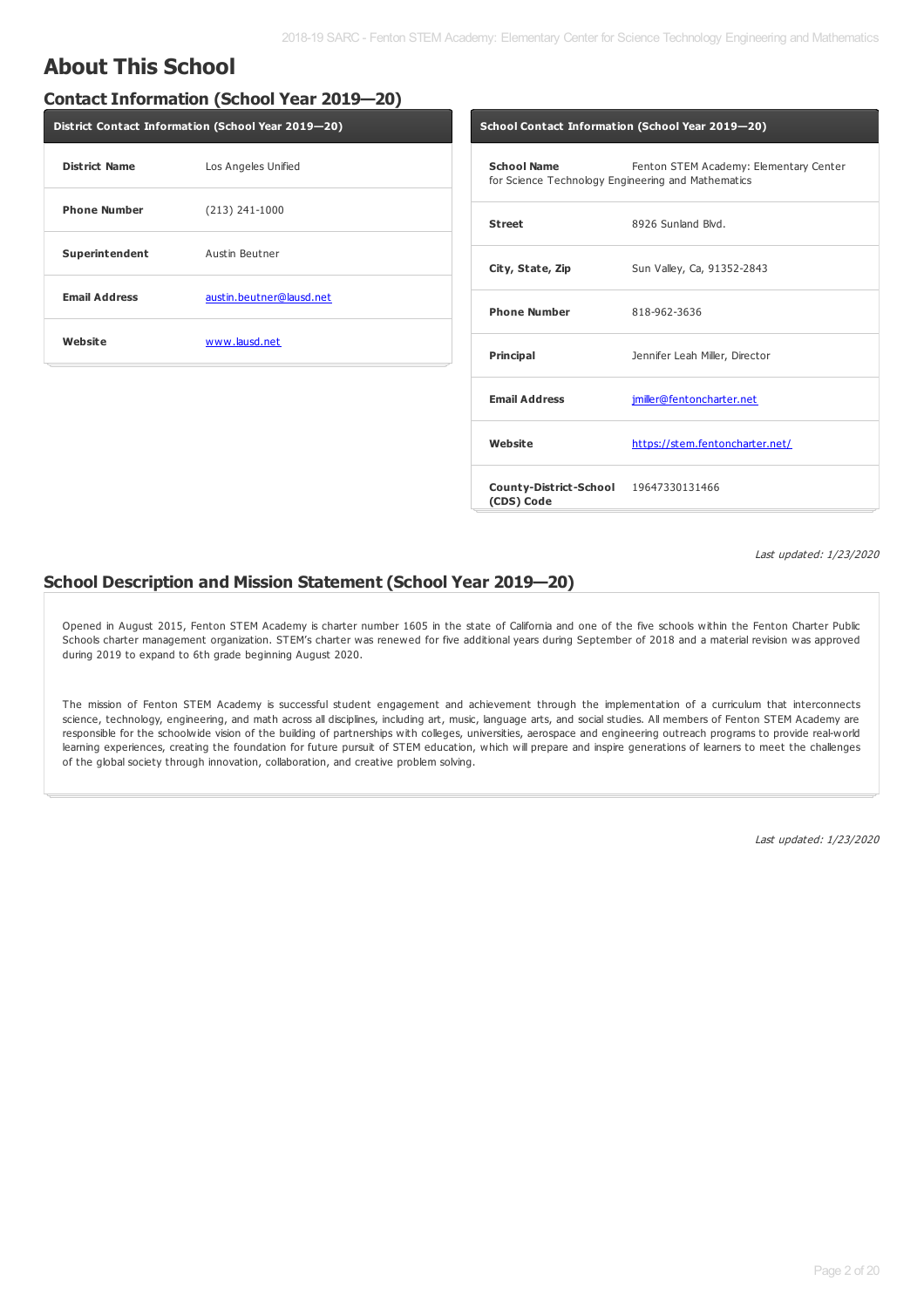## **About This School**

## **Contact Information (School Year 2019—20)**

| District Contact Information (School Year 2019-20) |                          |  |  |
|----------------------------------------------------|--------------------------|--|--|
| <b>District Name</b>                               | Los Angeles Unified      |  |  |
| <b>Phone Number</b>                                | $(213) 241 - 1000$       |  |  |
| Superintendent                                     | Austin Beutner           |  |  |
| <b>Email Address</b>                               | austin.beutner@lausd.net |  |  |
| Website                                            | www.lausd.net            |  |  |

|                                                                          | School Contact Information (School Year 2019-20) |
|--------------------------------------------------------------------------|--------------------------------------------------|
| <b>School Name</b><br>for Science Technology Engineering and Mathematics | Fenton STEM Academy: Elementary Center           |
| <b>Street</b>                                                            | 8926 Sunland Blvd.                               |
| City, State, Zip                                                         | Sun Valley, Ca, 91352-2843                       |
| <b>Phone Number</b>                                                      | 818-962-3636                                     |
| <b>Principal</b>                                                         | Jennifer Leah Miller, Director                   |
| <b>Email Address</b>                                                     | jmiller@fentoncharter.net                        |
| Website                                                                  | https://stem.fentoncharter.net/                  |
| County-District-School 19647330131466<br>(CDS) Code                      |                                                  |

Last updated: 1/23/2020

### **School Description and Mission Statement (School Year 2019—20)**

Opened in August 2015, Fenton STEM Academy is charter number 1605 in the state of California and one of the five schools within the Fenton Charter Public Schools charter management organization. STEM's charter was renewed for five additional years during September of 2018 and a material revision was approved during 2019 to expand to 6th grade beginning August 2020.

The mission of Fenton STEM Academy is successful student engagement and achievement through the implementation of a curriculum that interconnects science, technology, engineering, and math across all disciplines, including art, music, language arts, and social studies. All members of Fenton STEM Academy are responsible for the schoolwide vision of the building of partnerships with colleges, universities, aerospace and engineering outreach programs to provide real-world learning experiences, creating the foundation for future pursuit of STEM education, which will prepare and inspire generations of learners to meet the challenges of the global society through innovation, collaboration, and creative problem solving.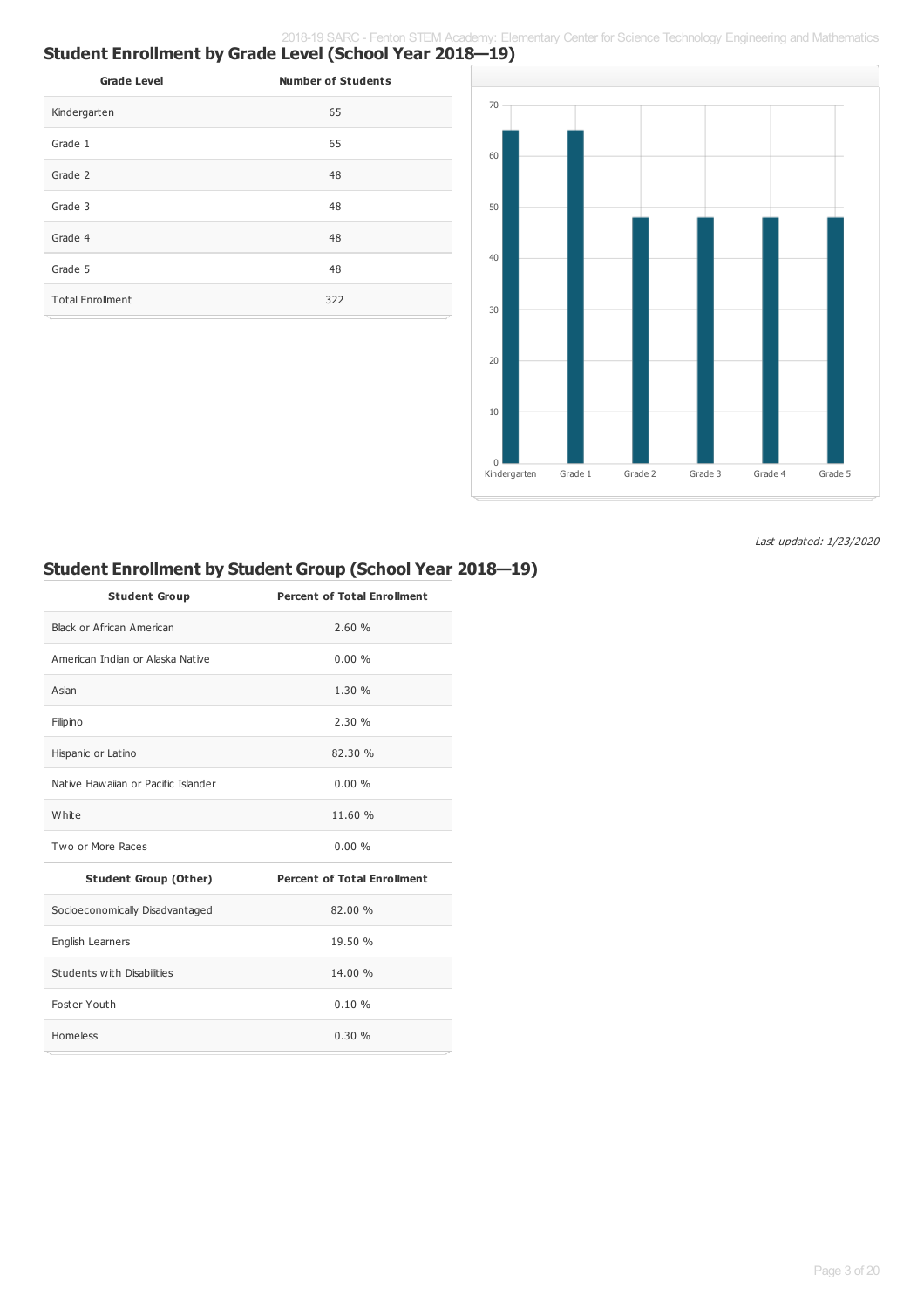| Student Enrollment by Grade Level (School Year 2018—19) |  |  |  |
|---------------------------------------------------------|--|--|--|
|---------------------------------------------------------|--|--|--|

| <b>Grade Level</b>      | <b>Number of Students</b> |
|-------------------------|---------------------------|
| Kindergarten            | 65                        |
| Grade 1                 | 65                        |
| Grade 2                 | 48                        |
| Grade 3                 | 48                        |
| Grade 4                 | 48                        |
| Grade 5                 | 48                        |
| <b>Total Enrollment</b> | 322                       |



Last updated: 1/23/2020

## **Student Enrollment by Student Group (School Year 2018—19)**

| <b>Student Group</b>                | <b>Percent of Total Enrollment</b> |
|-------------------------------------|------------------------------------|
| Black or African American           | 2.60%                              |
| American Indian or Alaska Native    | 0.00%                              |
| Asian                               | 1.30 %                             |
| Filipino                            | 2.30%                              |
| Hispanic or Latino                  | 82.30%                             |
| Native Hawaiian or Pacific Islander | 0.00%                              |
| White                               | 11.60 %                            |
| Two or More Races                   | 0.00%                              |
| <b>Student Group (Other)</b>        | <b>Percent of Total Enrollment</b> |
| Socioeconomically Disadvantaged     | 82.00 %                            |
| English Learners                    | 19.50 %                            |
| Students with Disabilities          | 14.00 %                            |
| Foster Youth                        | 0.10%                              |
| Homeless                            | 0.30%                              |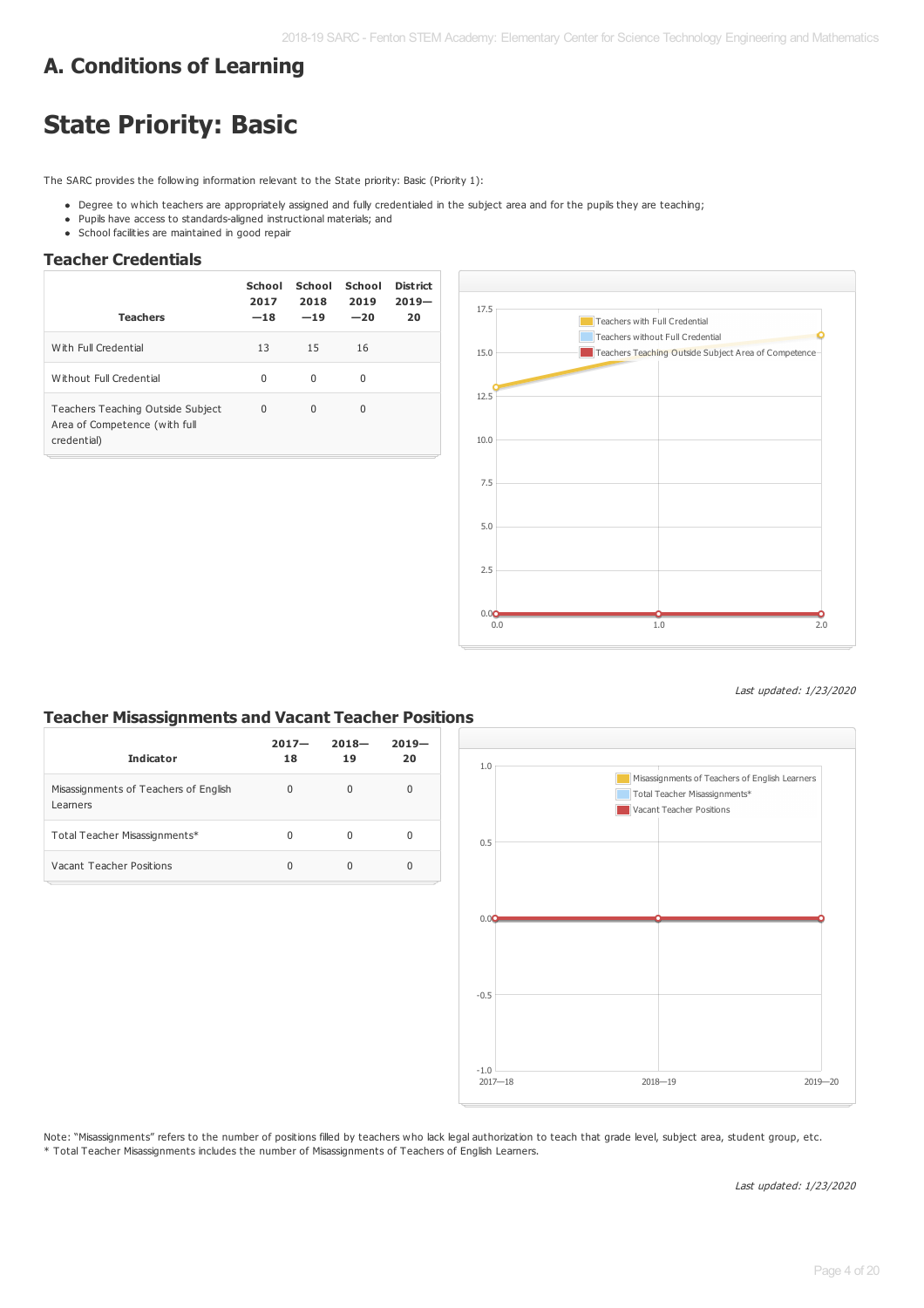## **A. Conditions of Learning**

# **State Priority: Basic**

The SARC provides the following information relevant to the State priority: Basic (Priority 1):

- . Degree to which teachers are appropriately assigned and fully credentialed in the subject area and for the pupils they are teaching;
- Pupils have access to standards-aligned instructional materials; and
- School facilities are maintained in good repair

#### **Teacher Credentials**

| <b>Teachers</b>                                                                   | School<br>2017<br>$-18$ | School<br>2018<br>$-19$ | School<br>2019<br>$-20$ | <b>District</b><br>$2019-$<br>20 |
|-----------------------------------------------------------------------------------|-------------------------|-------------------------|-------------------------|----------------------------------|
| With Full Credential                                                              | 13                      | 15                      | 16                      |                                  |
| Without Full Credential                                                           | $\Omega$                | $\Omega$                | 0                       |                                  |
| Teachers Teaching Outside Subject<br>Area of Competence (with full<br>credential) | $\Omega$                | $\Omega$                | 0                       |                                  |



Last updated: 1/23/2020

#### **Teacher Misassignments and Vacant Teacher Positions**

| <b>Indicator</b>                                  | $2017 -$<br>18 | $2018 -$<br>19 | $2019-$<br>20 |
|---------------------------------------------------|----------------|----------------|---------------|
| Misassignments of Teachers of English<br>Learners | $\Omega$       | $\Omega$       | $\Omega$      |
| Total Teacher Misassignments*                     | 0              | 0              | 0             |
| Vacant Teacher Positions                          | $\Omega$       | 0              | 0             |



Note: "Misassignments" refers to the number of positions filled by teachers who lack legal authorization to teach that grade level, subject area, student group, etc. \* Total Teacher Misassignments includes the number of Misassignments of Teachers of English Learners.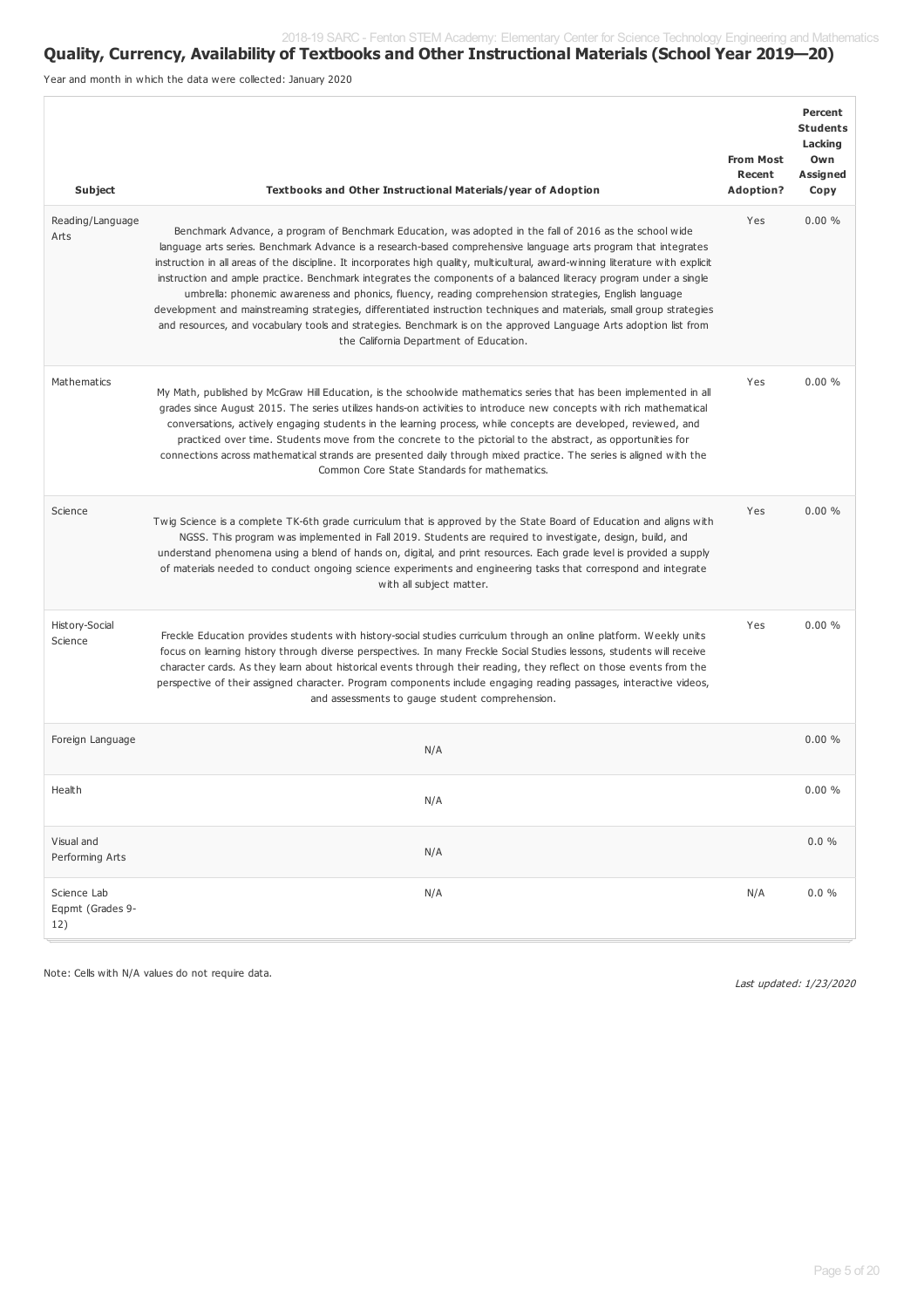## **Quality, Currency, Availability of Textbooks and Other Instructional Materials (School Year 2019—20)**

Year and month in which the data were collected: January 2020

| Subject                                | Textbooks and Other Instructional Materials/year of Adoption                                                                                                                                                                                                                                                                                                                                                                                                                                                                                                                                                                                                                                                                                                                                                                                                                         | <b>From Most</b><br>Recent<br>Adoption? | Percent<br><b>Students</b><br>Lacking<br>Own<br>Assigned<br>Copy |
|----------------------------------------|--------------------------------------------------------------------------------------------------------------------------------------------------------------------------------------------------------------------------------------------------------------------------------------------------------------------------------------------------------------------------------------------------------------------------------------------------------------------------------------------------------------------------------------------------------------------------------------------------------------------------------------------------------------------------------------------------------------------------------------------------------------------------------------------------------------------------------------------------------------------------------------|-----------------------------------------|------------------------------------------------------------------|
| Reading/Language<br>Arts               | Benchmark Advance, a program of Benchmark Education, was adopted in the fall of 2016 as the school wide<br>language arts series. Benchmark Advance is a research-based comprehensive language arts program that integrates<br>instruction in all areas of the discipline. It incorporates high quality, multicultural, award-winning literature with explicit<br>instruction and ample practice. Benchmark integrates the components of a balanced literacy program under a single<br>umbrella: phonemic awareness and phonics, fluency, reading comprehension strategies, English language<br>development and mainstreaming strategies, differentiated instruction techniques and materials, small group strategies<br>and resources, and vocabulary tools and strategies. Benchmark is on the approved Language Arts adoption list from<br>the California Department of Education. | Yes                                     | 0.00%                                                            |
| Mathematics                            | My Math, published by McGraw Hill Education, is the schoolwide mathematics series that has been implemented in all<br>grades since August 2015. The series utilizes hands-on activities to introduce new concepts with rich mathematical<br>conversations, actively engaging students in the learning process, while concepts are developed, reviewed, and<br>practiced over time. Students move from the concrete to the pictorial to the abstract, as opportunities for<br>connections across mathematical strands are presented daily through mixed practice. The series is aligned with the<br>Common Core State Standards for mathematics.                                                                                                                                                                                                                                      | Yes                                     | 0.00%                                                            |
| Science                                | Twig Science is a complete TK-6th grade curriculum that is approved by the State Board of Education and aligns with<br>NGSS. This program was implemented in Fall 2019. Students are required to investigate, design, build, and<br>understand phenomena using a blend of hands on, digital, and print resources. Each grade level is provided a supply<br>of materials needed to conduct ongoing science experiments and engineering tasks that correspond and integrate<br>with all subject matter.                                                                                                                                                                                                                                                                                                                                                                                | Yes                                     | 0.00%                                                            |
| History-Social<br>Science              | Freckle Education provides students with history-social studies curriculum through an online platform. Weekly units<br>focus on learning history through diverse perspectives. In many Freckle Social Studies lessons, students will receive<br>character cards. As they learn about historical events through their reading, they reflect on those events from the<br>perspective of their assigned character. Program components include engaging reading passages, interactive videos,<br>and assessments to gauge student comprehension.                                                                                                                                                                                                                                                                                                                                         | Yes                                     | 0.00%                                                            |
| Foreign Language                       | N/A                                                                                                                                                                                                                                                                                                                                                                                                                                                                                                                                                                                                                                                                                                                                                                                                                                                                                  |                                         | 0.00%                                                            |
| Health                                 | N/A                                                                                                                                                                                                                                                                                                                                                                                                                                                                                                                                                                                                                                                                                                                                                                                                                                                                                  |                                         | 0.00%                                                            |
| Visual and<br>Performing Arts          | N/A                                                                                                                                                                                                                                                                                                                                                                                                                                                                                                                                                                                                                                                                                                                                                                                                                                                                                  |                                         | $0.0 \%$                                                         |
| Science Lab<br>Eqpmt (Grades 9-<br>12) | N/A                                                                                                                                                                                                                                                                                                                                                                                                                                                                                                                                                                                                                                                                                                                                                                                                                                                                                  | N/A                                     | $0.0 \%$                                                         |

Note: Cells with N/A values do not require data.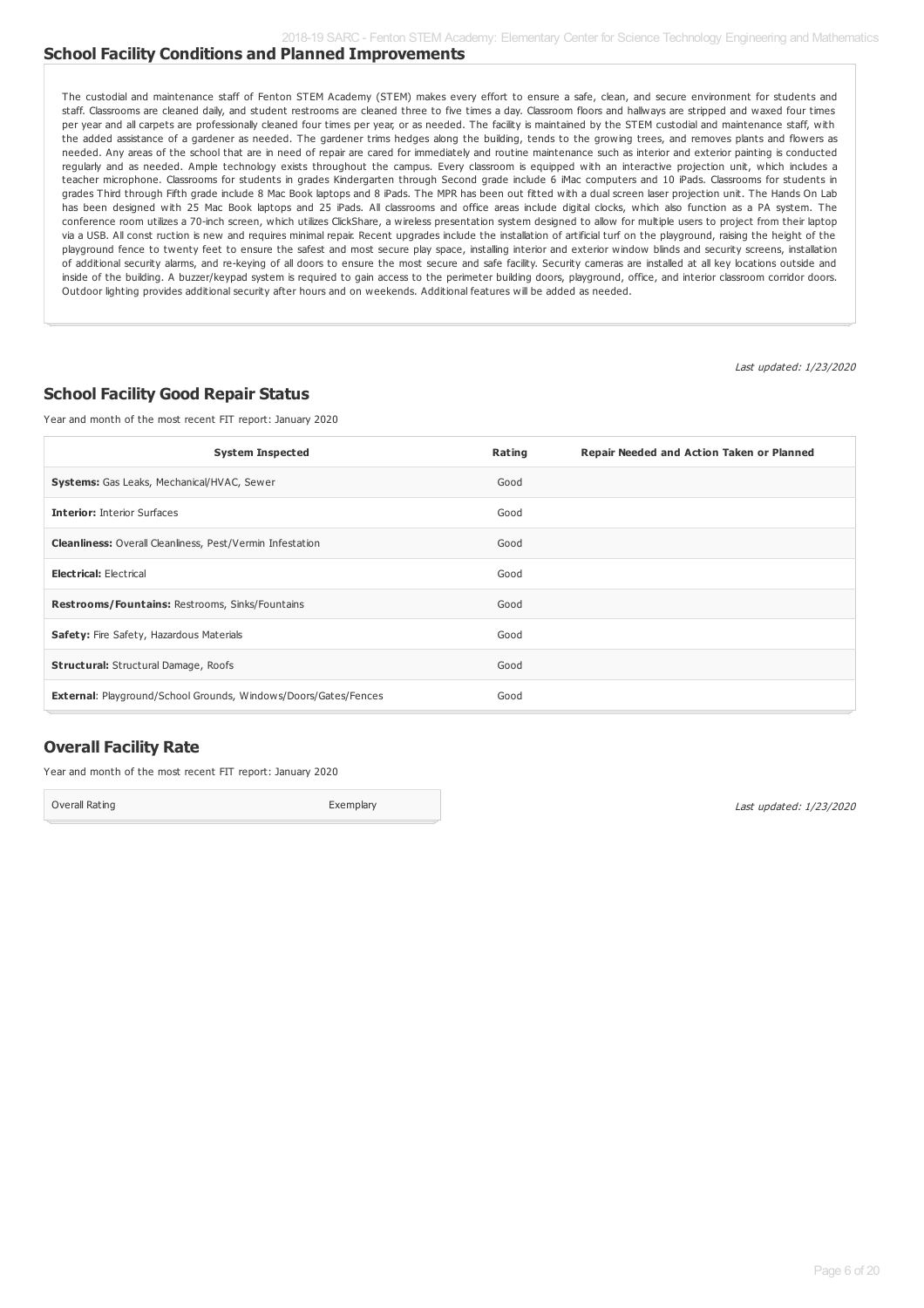#### **School Facility Conditions and Planned Improvements**

The custodial and maintenance staff of Fenton STEM Academy (STEM) makes every effort to ensure a safe, clean, and secure environment for students and staff. Classrooms are cleaned daily, and student restrooms are cleaned three to five times a day. Classroom floors and hallways are stripped and waxed four times per year and all carpets are professionally cleaned four times per year, or as needed. The facility is maintained by the STEM custodial and maintenance staff, with the added assistance of a gardener as needed. The gardener trims hedges along the building, tends to the growing trees, and removes plants and flowers as needed. Any areas of the school that are in need of repair are cared for immediately and routine maintenance such as interior and exterior painting is conducted regularly and as needed. Ample technology exists throughout the campus. Every classroom is equipped with an interactive projection unit, which includes a teacher microphone. Classrooms for students in grades Kindergarten through Second grade include 6 iMac computers and 10 iPads. Classrooms for students in grades Third through Fifth grade include 8 Mac Book laptops and 8 iPads. The MPR has been out fitted with a dual screen laser projection unit. The Hands On Lab has been designed with 25 Mac Book laptops and 25 iPads. All classrooms and office areas include digital clocks, which also function as a PA system. The conference room utilizes a 70-inch screen, which utilizes ClickShare, a wireless presentation system designed to allow for multiple users to project from their laptop via a USB. All const ruction is new and requires minimal repair. Recent upgrades include the installation of artificial turf on the playground, raising the height of the playground fence to twenty feet to ensure the safest and most secure play space, installing interior and exterior window blinds and security screens, installation of additional security alarms, and re-keying of all doors to ensure the most secure and safe facility. Security cameras are installed at all key locations outside and inside of the building. A buzzer/keypad system is required to gain access to the perimeter building doors, playground, office, and interior classroom corridor doors. Outdoor lighting provides additional security after hours and on weekends. Additional features will be added as needed.

Last updated: 1/23/2020

#### **School Facility Good Repair Status**

Year and month of the most recent FIT report: January 2020

| <b>System Inspected</b>                                                | Rating | Repair Needed and Action Taken or Planned |
|------------------------------------------------------------------------|--------|-------------------------------------------|
| <b>Systems:</b> Gas Leaks, Mechanical/HVAC, Sewer                      | Good   |                                           |
| <b>Interior: Interior Surfaces</b>                                     | Good   |                                           |
| <b>Cleanliness:</b> Overall Cleanliness, Pest/Vermin Infestation       | Good   |                                           |
| <b>Electrical: Electrical</b>                                          | Good   |                                           |
| Restrooms/Fountains: Restrooms, Sinks/Fountains                        | Good   |                                           |
| Safety: Fire Safety, Hazardous Materials                               | Good   |                                           |
| <b>Structural:</b> Structural Damage, Roofs                            | Good   |                                           |
| <b>External: Playground/School Grounds, Windows/Doors/Gates/Fences</b> | Good   |                                           |

#### **Overall Facility Rate**

Year and month of the most recent FIT report: January 2020

Overall Rating **Exemplary** Exemplary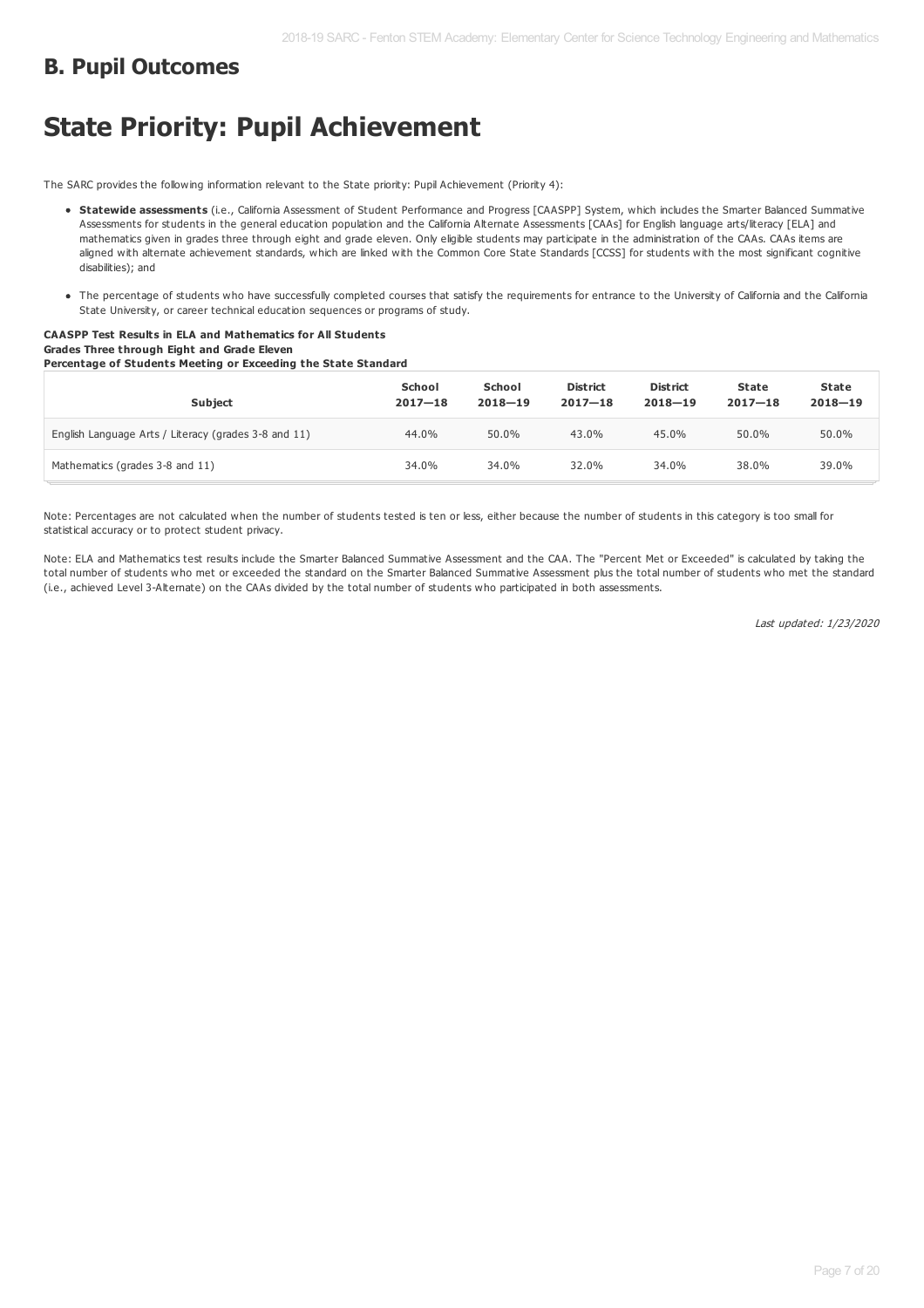## **B. Pupil Outcomes**

# **State Priority: Pupil Achievement**

The SARC provides the following information relevant to the State priority: Pupil Achievement (Priority 4):

- **Statewide assessments** (i.e., California Assessment of Student Performance and Progress [CAASPP] System, which includes the Smarter Balanced Summative Assessments for students in the general education population and the California Alternate Assessments [CAAs] for English language arts/literacy [ELA] and mathematics given in grades three through eight and grade eleven. Only eligible students may participate in the administration of the CAAs. CAAs items are aligned with alternate achievement standards, which are linked with the Common Core State Standards [CCSS] for students with the most significant cognitive disabilities); and
- The percentage of students who have successfully completed courses that satisfy the requirements for entrance to the University of California and the California State University, or career technical education sequences or programs of study.

#### **CAASPP Test Results in ELA and Mathematics for All Students Grades Three through Eight and Grade Eleven Percentage of Students Meeting or Exceeding the State Standard**

| <b>Subject</b>                                       | School<br>$2017 - 18$ | School<br>$2018 - 19$ | <b>District</b><br>$2017 - 18$ | <b>District</b><br>$2018 - 19$ | State<br>$2017 - 18$ | State<br>$2018 - 19$ |
|------------------------------------------------------|-----------------------|-----------------------|--------------------------------|--------------------------------|----------------------|----------------------|
| English Language Arts / Literacy (grades 3-8 and 11) | 44.0%                 | 50.0%                 | 43.0%                          | 45.0%                          | 50.0%                | 50.0%                |
| Mathematics (grades 3-8 and 11)                      | 34.0%                 | 34.0%                 | 32.0%                          | 34.0%                          | 38.0%                | 39.0%                |

Note: Percentages are not calculated when the number of students tested is ten or less, either because the number of students in this category is too small for statistical accuracy or to protect student privacy.

Note: ELA and Mathematics test results include the Smarter Balanced Summative Assessment and the CAA. The "Percent Met or Exceeded" is calculated by taking the total number of students who met or exceeded the standard on the Smarter Balanced Summative Assessment plus the total number of students who met the standard (i.e., achieved Level 3-Alternate) on the CAAs divided by the total number of students who participated in both assessments.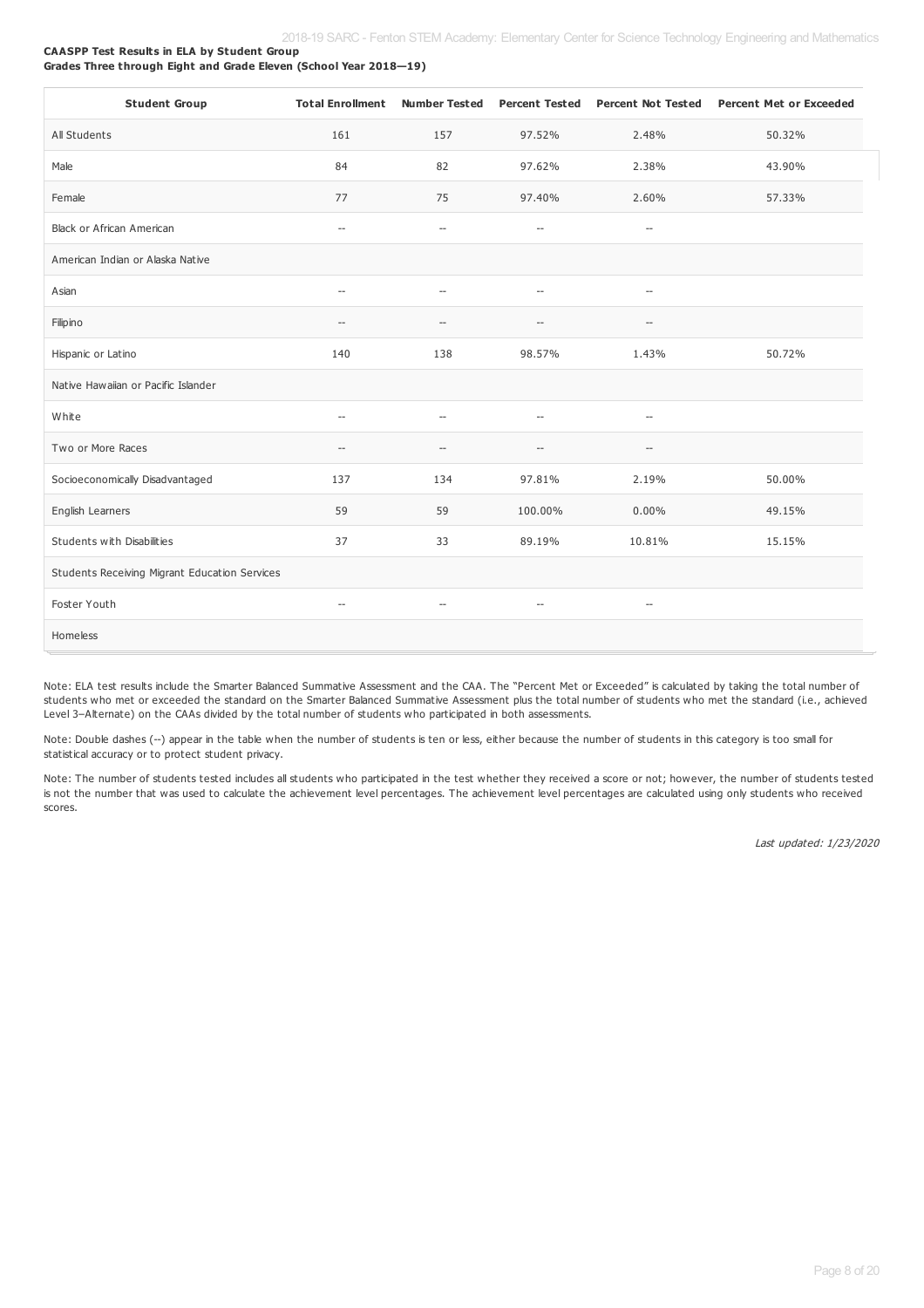#### **CAASPP Test Results in ELA by Student Group Grades Three through Eight and Grade Eleven (School Year 2018—19)**

| <b>Student Group</b>                          | <b>Total Enrollment</b>  | <b>Number Tested</b>                                | <b>Percent Tested</b>    |                                                     | Percent Not Tested  Percent Met or Exceeded |
|-----------------------------------------------|--------------------------|-----------------------------------------------------|--------------------------|-----------------------------------------------------|---------------------------------------------|
| All Students                                  | 161                      | 157                                                 | 97.52%                   | 2.48%                                               | 50.32%                                      |
| Male                                          | 84                       | 82                                                  | 97.62%                   | 2.38%                                               | 43.90%                                      |
| Female                                        | 77                       | 75                                                  | 97.40%                   | 2.60%                                               | 57.33%                                      |
| <b>Black or African American</b>              | $\hspace{0.05cm} \ldots$ | $\overline{\phantom{a}}$                            | $\hspace{0.05cm} \ldots$ | $\overline{\phantom{a}}$                            |                                             |
| American Indian or Alaska Native              |                          |                                                     |                          |                                                     |                                             |
| Asian                                         | $\hspace{0.05cm} \ldots$ | $\hspace{0.05cm} -\hspace{0.05cm} -\hspace{0.05cm}$ | $\overline{\phantom{a}}$ | $\overline{\phantom{a}}$                            |                                             |
| Filipino                                      | $\overline{\phantom{0}}$ | $\overline{\phantom{a}}$                            | $\overline{\phantom{a}}$ | $\overline{\phantom{a}}$                            |                                             |
| Hispanic or Latino                            | 140                      | 138                                                 | 98.57%                   | 1.43%                                               | 50.72%                                      |
| Native Hawaiian or Pacific Islander           |                          |                                                     |                          |                                                     |                                             |
| White                                         | $\hspace{0.05cm} \ldots$ | $\hspace{0.05cm} -\hspace{0.05cm} -\hspace{0.05cm}$ | $\hspace{0.05cm} \ldots$ | $-\!$                                               |                                             |
| Two or More Races                             | $\overline{a}$           | $\overline{\phantom{a}}$                            | $\overline{\phantom{a}}$ | $\overline{\phantom{a}}$                            |                                             |
| Socioeconomically Disadvantaged               | 137                      | 134                                                 | 97.81%                   | 2.19%                                               | 50.00%                                      |
| English Learners                              | 59                       | 59                                                  | 100.00%                  | $0.00\%$                                            | 49.15%                                      |
| Students with Disabilities                    | 37                       | 33                                                  | 89.19%                   | 10.81%                                              | 15.15%                                      |
| Students Receiving Migrant Education Services |                          |                                                     |                          |                                                     |                                             |
| Foster Youth                                  | $\hspace{0.05cm} \ldots$ | $\hspace{0.05cm} -\hspace{0.05cm} -\hspace{0.05cm}$ | $\hspace{0.05cm} \ldots$ | $\hspace{0.05cm} -\hspace{0.05cm} -\hspace{0.05cm}$ |                                             |
| Homeless                                      |                          |                                                     |                          |                                                     |                                             |

Note: ELA test results include the Smarter Balanced Summative Assessment and the CAA. The "Percent Met or Exceeded" is calculated by taking the total number of students who met or exceeded the standard on the Smarter Balanced Summative Assessment plus the total number of students who met the standard (i.e., achieved Level 3-Alternate) on the CAAs divided by the total number of students who participated in both assessments.

Note: Double dashes (--) appear in the table when the number of students is ten or less, either because the number of students in this category is too small for statistical accuracy or to protect student privacy.

Note: The number of students tested includes all students who participated in the test whether they received a score or not; however, the number of students tested is not the number that was used to calculate the achievement level percentages. The achievement level percentages are calculated using only students who received scores.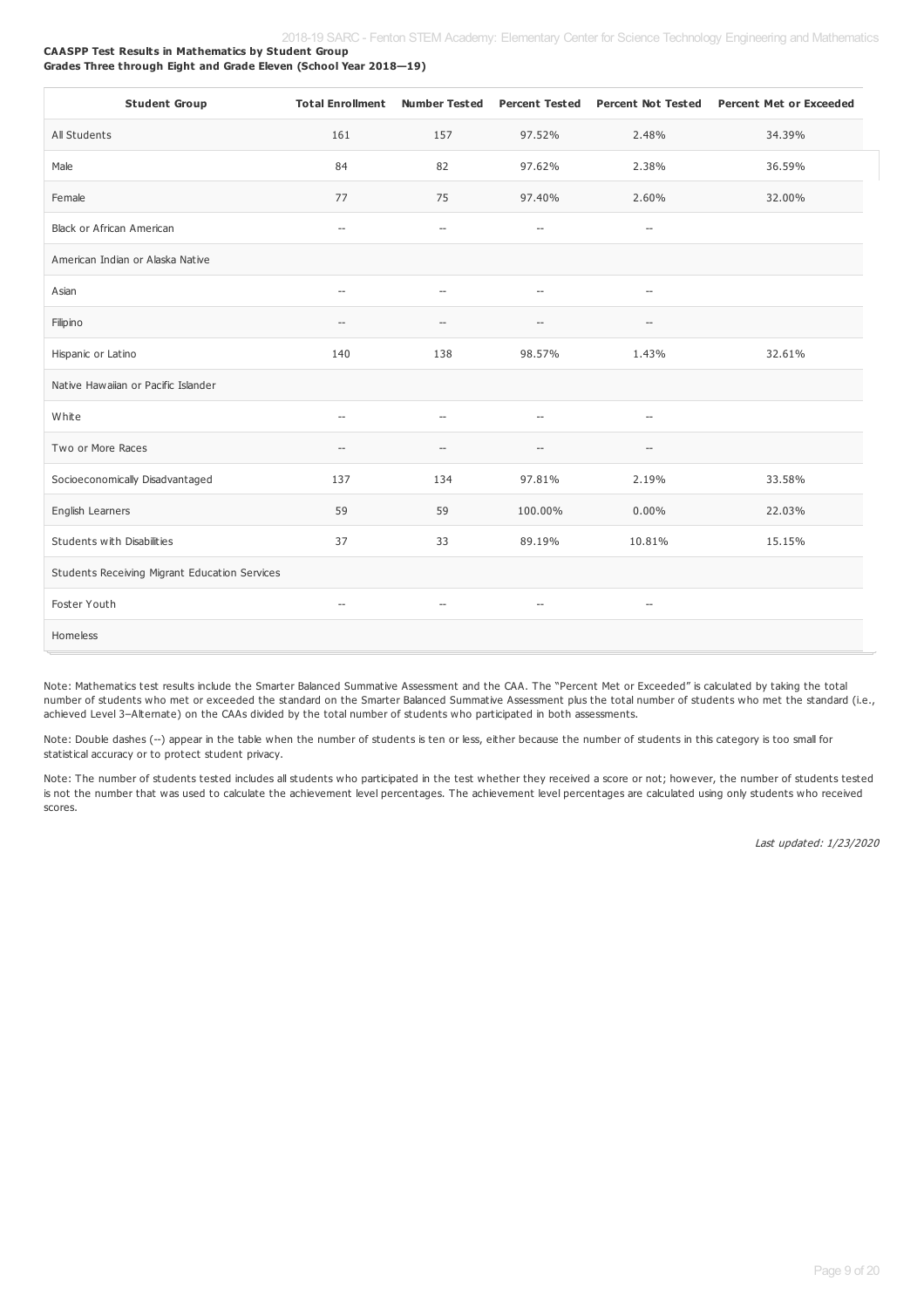#### **CAASPP Test Results in Mathematics by Student Group Grades Three through Eight and Grade Eleven (School Year 2018—19)**

| <b>Student Group</b>                          | <b>Total Enrollment</b>            |                                    | Number Tested  Percent Tested |                                                     | Percent Not Tested  Percent Met or Exceeded |
|-----------------------------------------------|------------------------------------|------------------------------------|-------------------------------|-----------------------------------------------------|---------------------------------------------|
| All Students                                  | 161                                | 157                                | 97.52%                        | 2.48%                                               | 34.39%                                      |
| Male                                          | 84                                 | 82                                 | 97.62%                        | 2.38%                                               | 36.59%                                      |
| Female                                        | 77                                 | 75                                 | 97.40%                        | 2.60%                                               | 32.00%                                      |
| Black or African American                     | $\hspace{0.05cm} -\hspace{0.05cm}$ | $\overline{\phantom{a}}$           | $\hspace{0.05cm} \ldots$      | $-\!$                                               |                                             |
| American Indian or Alaska Native              |                                    |                                    |                               |                                                     |                                             |
| Asian                                         | --                                 | $\overline{\phantom{a}}$           | --                            | $-\!$                                               |                                             |
| Filipino                                      | $\overline{\phantom{a}}$           | $\overline{\phantom{a}}$           | $\overline{\phantom{0}}$      | $\hspace{0.05cm} -\hspace{0.05cm} -\hspace{0.05cm}$ |                                             |
| Hispanic or Latino                            | 140                                | 138                                | 98.57%                        | 1.43%                                               | 32.61%                                      |
| Native Hawaiian or Pacific Islander           |                                    |                                    |                               |                                                     |                                             |
| White                                         | $\overline{\phantom{a}}$           | $\hspace{0.05cm} -\hspace{0.05cm}$ | $\overline{\phantom{a}}$      | $\hspace{0.05cm} -\hspace{0.05cm} -\hspace{0.05cm}$ |                                             |
| Two or More Races                             | $\sim$                             | $\overline{\phantom{a}}$           | --                            | $\overline{\phantom{a}}$                            |                                             |
| Socioeconomically Disadvantaged               | 137                                | 134                                | 97.81%                        | 2.19%                                               | 33.58%                                      |
| English Learners                              | 59                                 | 59                                 | 100.00%                       | 0.00%                                               | 22.03%                                      |
| Students with Disabilities                    | 37                                 | 33                                 | 89.19%                        | 10.81%                                              | 15.15%                                      |
| Students Receiving Migrant Education Services |                                    |                                    |                               |                                                     |                                             |
| Foster Youth                                  | $\hspace{0.05cm} -\hspace{0.05cm}$ | --                                 | $\hspace{0.05cm} -$           | $-\!$                                               |                                             |
| Homeless                                      |                                    |                                    |                               |                                                     |                                             |

Note: Mathematics test results include the Smarter Balanced Summative Assessment and the CAA. The "Percent Met or Exceeded" is calculated by taking the total number of students who met or exceeded the standard on the Smarter Balanced Summative Assessment plus the total number of students who met the standard (i.e., achieved Level 3–Alternate) on the CAAs divided by the total number of students who participated in both assessments.

Note: Double dashes (--) appear in the table when the number of students is ten or less, either because the number of students in this category is too small for statistical accuracy or to protect student privacy.

Note: The number of students tested includes all students who participated in the test whether they received a score or not; however, the number of students tested is not the number that was used to calculate the achievement level percentages. The achievement level percentages are calculated using only students who received scores.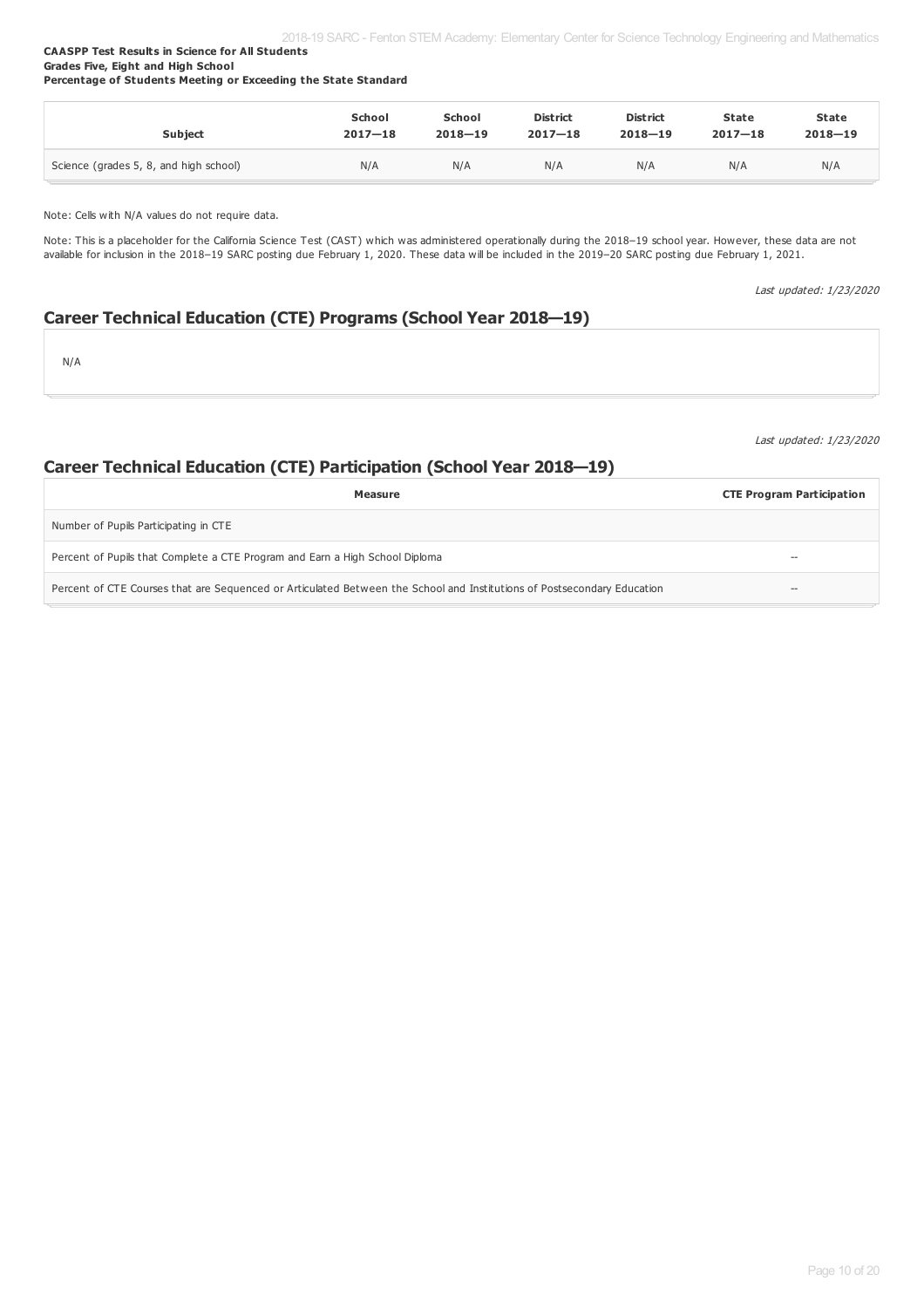#### **CAASPP Test Results in Science for All Students Grades Five, Eight and High School**

**Percentage of Students Meeting or Exceeding the State Standard**

| <b>Subject</b>                         | <b>School</b> | School      | <b>District</b> | <b>District</b> | <b>State</b> | State       |
|----------------------------------------|---------------|-------------|-----------------|-----------------|--------------|-------------|
|                                        | $2017 - 18$   | $2018 - 19$ | $2017 - 18$     | $2018 - 19$     | $2017 - 18$  | $2018 - 19$ |
| Science (grades 5, 8, and high school) | N/A           | N/A         | N/A             | N/A             | N/A          | N/A         |

#### Note: Cells with N/A values do not require data.

Note: This is a placeholder for the California Science Test (CAST) which was administered operationally during the 2018–19 school year. However, these data are not available for inclusion in the 2018–19 SARC posting due February 1, 2020. These data will be included in the 2019–20 SARC posting due February 1, 2021.

Last updated: 1/23/2020

## **Career Technical Education (CTE) Programs (School Year 2018—19)**

N/A

Last updated: 1/23/2020

## **Career Technical Education (CTE) Participation (School Year 2018—19)**

| Measure                                                                                                                 | <b>CTE Program Participation</b> |
|-------------------------------------------------------------------------------------------------------------------------|----------------------------------|
| Number of Pupils Participating in CTE                                                                                   |                                  |
| Percent of Pupils that Complete a CTE Program and Earn a High School Diploma                                            | $- -$                            |
| Percent of CTE Courses that are Sequenced or Articulated Between the School and Institutions of Postsecondary Education | $- -$                            |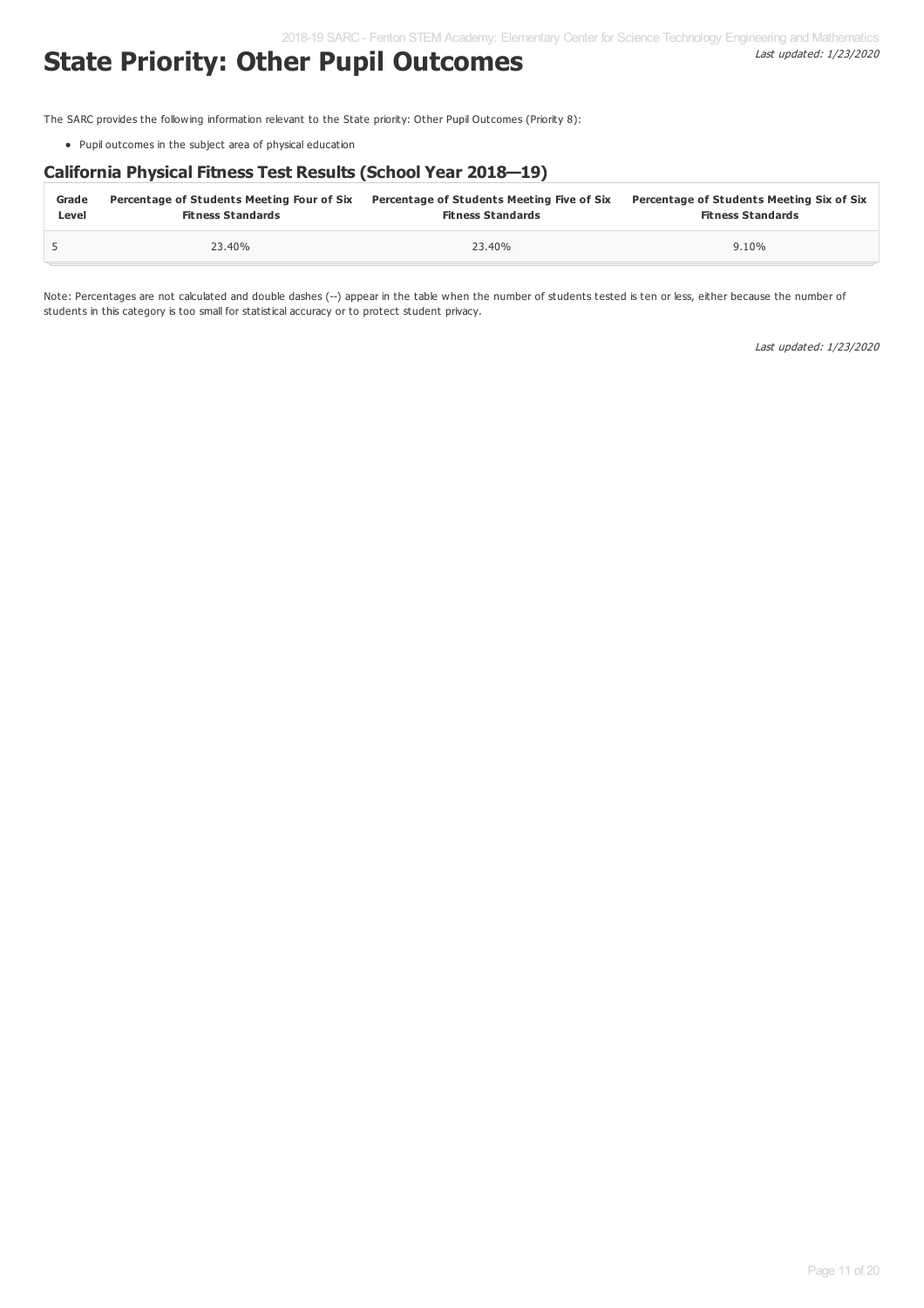# **State Priority: Other Pupil Outcomes**

Last updated: 1/23/2020

The SARC provides the following information relevant to the State priority: Other Pupil Outcomes (Priority 8):

Pupil outcomes in the subject area of physical education

#### **California Physical Fitness Test Results (School Year 2018—19)**

| Grade | Percentage of Students Meeting Four of Six | Percentage of Students Meeting Five of Six | Percentage of Students Meeting Six of Six |
|-------|--------------------------------------------|--------------------------------------------|-------------------------------------------|
| Level | <b>Fitness Standards</b>                   | <b>Fitness Standards</b>                   | <b>Fitness Standards</b>                  |
|       | 23.40%                                     | 23.40%                                     | 9.10%                                     |

Note: Percentages are not calculated and double dashes (--) appear in the table when the number of students tested is ten or less, either because the number of students in this category is too small for statistical accuracy or to protect student privacy.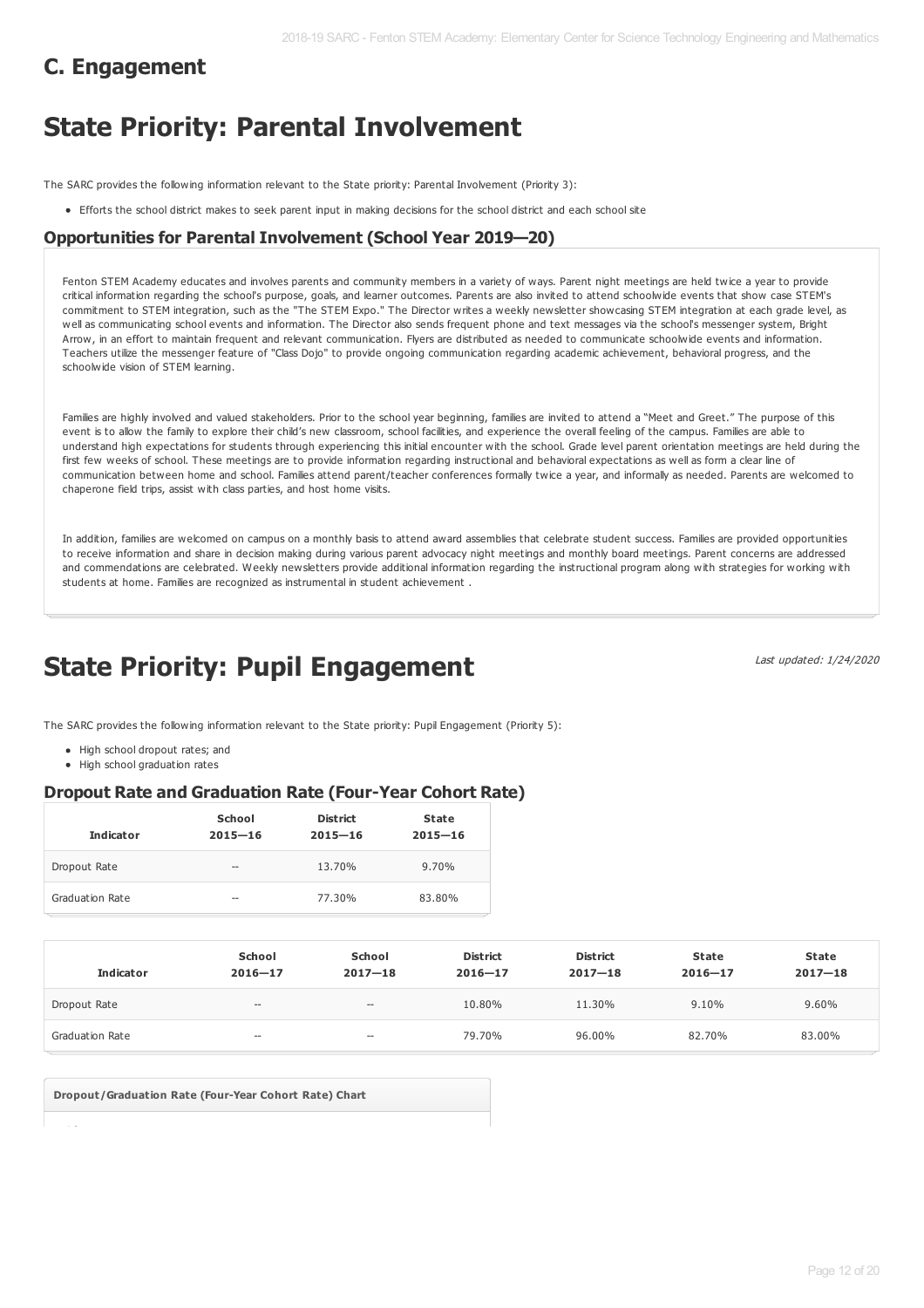## **C. Engagement**

# **State Priority: Parental Involvement**

The SARC provides the following information relevant to the State priority: Parental Involvement (Priority 3):

Efforts the school district makes to seek parent input in making decisions for the school district and each school site

#### **Opportunities for Parental Involvement (School Year 2019—20)**

Fenton STEM Academy educates and involves parents and community members in a variety of ways. Parent night meetings are held twice a year to provide critical information regarding the school's purpose, goals, and learner outcomes. Parents are also invited to attend schoolwide events that show case STEM's commitment to STEM integration, such as the "The STEM Expo." The Director writes a weekly newsletter showcasing STEM integration at each grade level, as well as communicating school events and information. The Director also sends frequent phone and text messages via the school's messenger system, Bright Arrow, in an effort to maintain frequent and relevant communication. Flyers are distributed as needed to communicate schoolwide events and information. Teachers utilize the messenger feature of "Class Dojo" to provide ongoing communication regarding academic achievement, behavioral progress, and the schoolwide vision of STEM learning.

Families are highly involved and valued stakeholders. Prior to the school year beginning, families are invited to attend a "Meet and Greet." The purpose of this event is to allow the family to explore their child's new classroom, school facilities, and experience the overall feeling of the campus. Families are able to understand high expectations for students through experiencing this initial encounter with the school. Grade level parent orientation meetings are held during the first few weeks of school. These meetings are to provide information regarding instructional and behavioral expectations as well as form a clear line of communication between home and school. Families attend parent/teacher conferences formally twice a year, and informally as needed. Parents are welcomed to chaperone field trips, assist with class parties, and host home visits.

In addition, families are welcomed on campus on a monthly basis to attend award assemblies that celebrate student success. Families are provided opportunities to receive information and share in decision making during various parent advocacy night meetings and monthly board meetings. Parent concerns are addressed and commendations are celebrated. Weekly newsletters provide additional information regarding the instructional program along with strategies for working with students at home. Families are recognized as instrumental in student achievement .

# **State Priority: Pupil Engagement**

Last updated: 1/24/2020

The SARC provides the following information relevant to the State priority: Pupil Engagement (Priority 5):

- High school dropout rates; and
- High school graduation rates

#### **Dropout Rate and Graduation Rate (Four-Year Cohort Rate)**

| <b>Indicator</b>       | School<br>$2015 - 16$ | <b>District</b><br>$2015 - 16$ | <b>State</b><br>$2015 - 16$ |
|------------------------|-----------------------|--------------------------------|-----------------------------|
| Dropout Rate           | $- -$                 | 13.70%                         | 9.70%                       |
| <b>Graduation Rate</b> | $-$                   | 77.30%                         | 83.80%                      |

| <b>Indicator</b>       | <b>School</b><br>$2016 - 17$ | School<br>$2017 - 18$    | <b>District</b><br>$2016 - 17$ | <b>District</b><br>$2017 - 18$ | State<br>$2016 - 17$ | <b>State</b><br>$2017 - 18$ |
|------------------------|------------------------------|--------------------------|--------------------------------|--------------------------------|----------------------|-----------------------------|
| Dropout Rate           | $- -$                        | $\overline{\phantom{m}}$ | 10.80%                         | 11.30%                         | 9.10%                | 9.60%                       |
| <b>Graduation Rate</b> | $- -$                        | $\overline{\phantom{m}}$ | 79.70%                         | 96.00%                         | 82.70%               | 83.00%                      |

**Dropout/Graduation Rate (Four-Year Cohort Rate) Chart**

1.0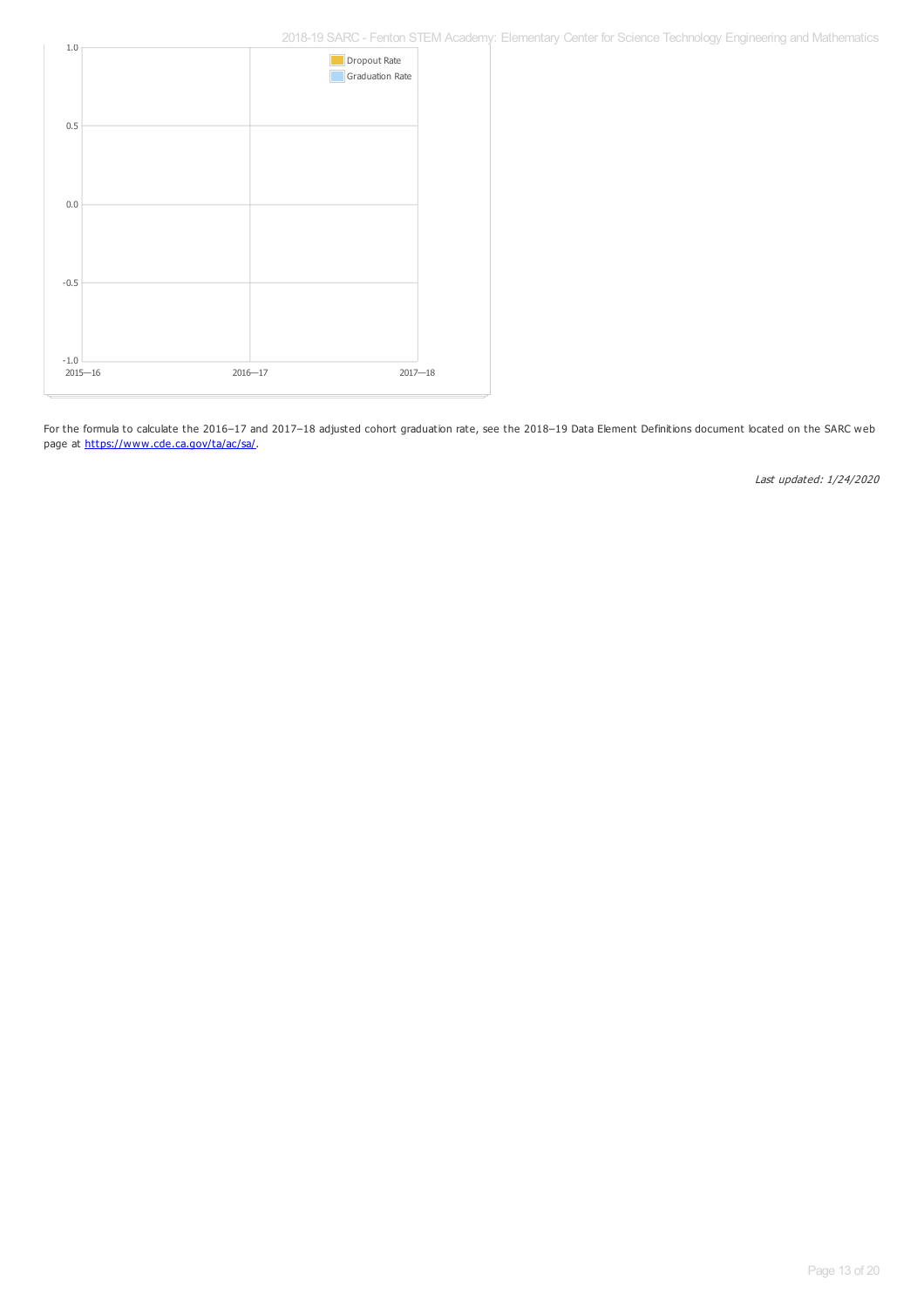

For the formula to calculate the 2016–17 and 2017–18 adjusted cohort graduation rate, see the 2018–19 Data Element Definitions document located on the SARC web page at <https://www.cde.ca.gov/ta/ac/sa/>.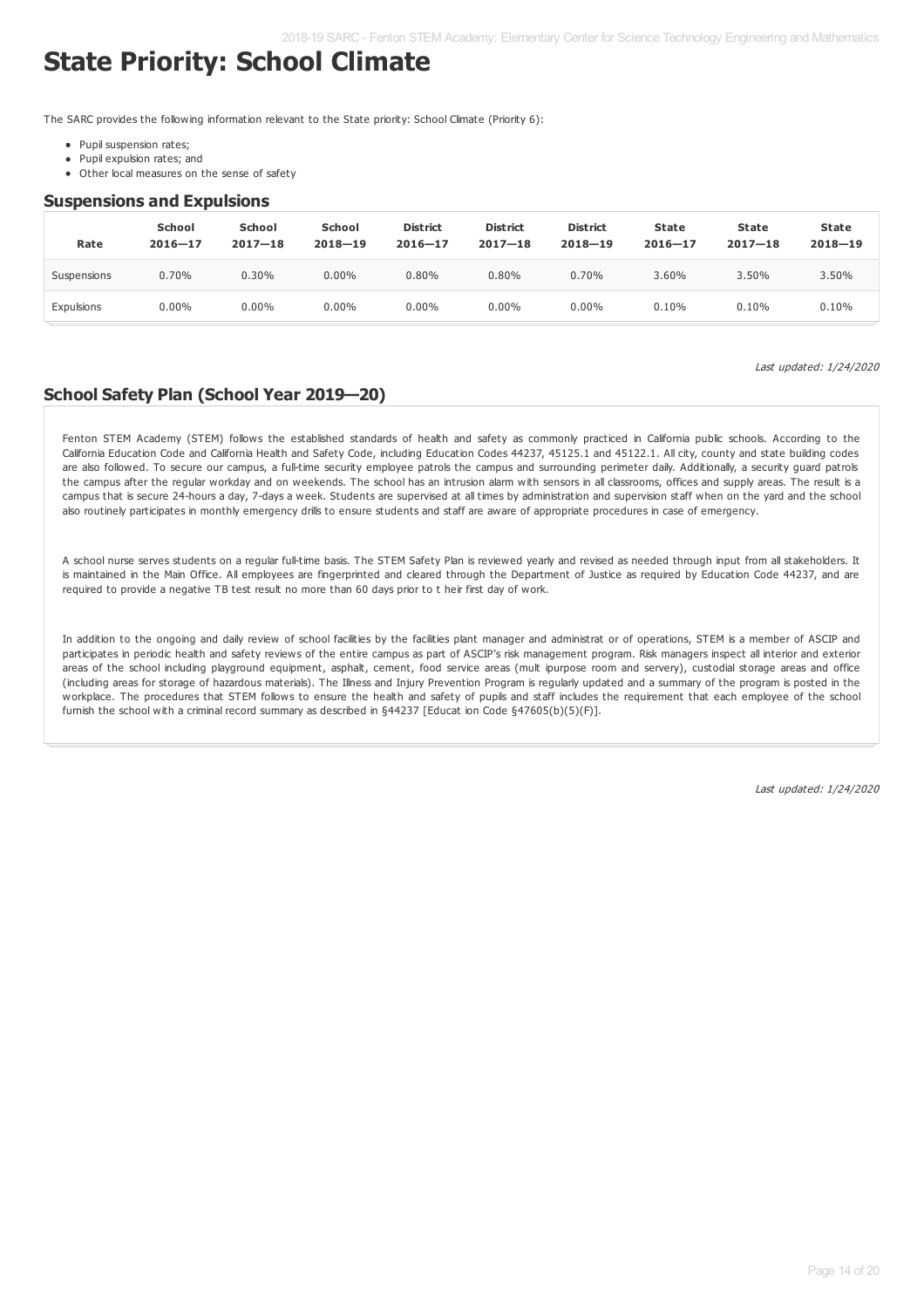# **State Priority: School Climate**

The SARC provides the following information relevant to the State priority: School Climate (Priority 6):

- Pupil suspension rates;
- Pupil expulsion rates; and
- Other local measures on the sense of safety

#### **Suspensions and Expulsions**

| Rate        | <b>School</b><br>$2016 - 17$ | School<br>$2017 - 18$ | School<br>$2018 - 19$ | <b>District</b><br>$2016 - 17$ | <b>District</b><br>$2017 - 18$ | <b>District</b><br>$2018 - 19$ | <b>State</b><br>$2016 - 17$ | State<br>$2017 - 18$ | State<br>$2018 - 19$ |
|-------------|------------------------------|-----------------------|-----------------------|--------------------------------|--------------------------------|--------------------------------|-----------------------------|----------------------|----------------------|
| Suspensions | 0.70%                        | 0.30%                 | $0.00\%$              | 0.80%                          | 0.80%                          | $0.70\%$                       | 3.60%                       | 3.50%                | 3.50%                |
| Expulsions  | $0.00\%$                     | $0.00\%$              | $0.00\%$              | $0.00\%$                       | $0.00\%$                       | $0.00\%$                       | 0.10%                       | 0.10%                | 0.10%                |

Last updated: 1/24/2020

#### **School Safety Plan (School Year 2019—20)**

Fenton STEM Academy (STEM) follows the established standards of health and safety as commonly practiced in California public schools. According to the California Education Code and California Health and Safety Code, including Education Codes 44237, 45125.1 and 45122.1. All city, county and state building codes are also followed. To secure our campus, a full-time security employee patrols the campus and surrounding perimeter daily. Additionally, a security guard patrols the campus after the regular workday and on weekends. The school has an intrusion alarm with sensors in all classrooms, offices and supply areas. The result is a campus that is secure 24-hours a day, 7-days a week. Students are supervised at all times by administration and supervision staff when on the yard and the school also routinely participates in monthly emergency drills to ensure students and staff are aware of appropriate procedures in case of emergency.

A school nurse serves students on a regular full-time basis. The STEM Safety Plan is reviewed yearly and revised as needed through input from all stakeholders. It is maintained in the Main Office. All employees are fingerprinted and cleared through the Department of Justice as required by Education Code 44237, and are required to provide a negative TB test result no more than 60 days prior to t heir first day of work.

In addition to the ongoing and daily review of school facilities by the facilities plant manager and administrat or of operations, STEM is a member of ASCIP and participates in periodic health and safety reviews of the entire campus as part of ASCIP's risk management program. Risk managers inspect all interior and exterior areas of the school including playground equipment, asphalt, cement, food service areas (mult ipurpose room and servery), custodial storage areas and office (including areas for storage of hazardous materials). The Illness and Injury Prevention Program is regularly updated and a summary of the program is posted in the workplace. The procedures that STEM follows to ensure the health and safety of pupils and staff includes the requirement that each employee of the school furnish the school with a criminal record summary as described in §44237 [Educat ion Code §47605(b)(5)(F)].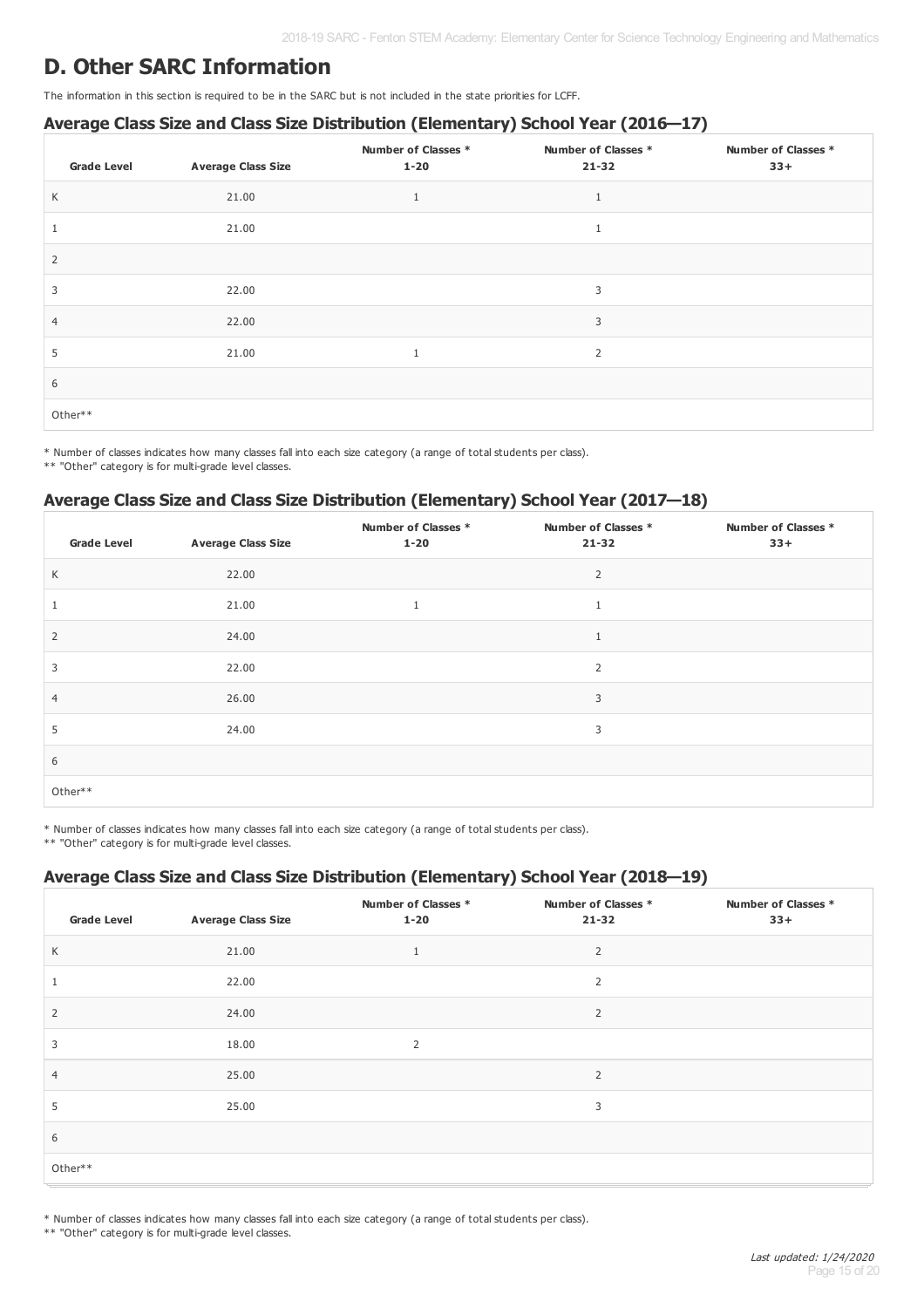## **D. Other SARC Information**

The information in this section is required to be in the SARC but is not included in the state priorities for LCFF.

#### **Average Class Size and Class Size Distribution (Elementary) School Year (2016—17)**

| <b>Grade Level</b> | <b>Average Class Size</b> | Number of Classes *<br>$1 - 20$ | Number of Classes *<br>$21 - 32$ | Number of Classes *<br>$33+$ |
|--------------------|---------------------------|---------------------------------|----------------------------------|------------------------------|
| K                  | 21.00                     | 1                               | 1                                |                              |
| 1                  | 21.00                     |                                 | $\mathbf{1}$                     |                              |
| 2                  |                           |                                 |                                  |                              |
| 3                  | 22.00                     |                                 | 3                                |                              |
| $\overline{4}$     | 22.00                     |                                 | 3                                |                              |
| 5                  | 21.00                     | $\mathbf{1}$                    | 2                                |                              |
| 6                  |                           |                                 |                                  |                              |
| Other**            |                           |                                 |                                  |                              |

\* Number of classes indicates how many classes fall into each size category (a range of total students per class).

\*\* "Other" category is for multi-grade level classes.

### **Average Class Size and Class Size Distribution (Elementary) School Year (2017—18)**

| <b>Grade Level</b> | <b>Average Class Size</b> | <b>Number of Classes *</b><br>$1 - 20$ | Number of Classes *<br>$21 - 32$ | Number of Classes *<br>$33+$ |
|--------------------|---------------------------|----------------------------------------|----------------------------------|------------------------------|
| K                  | 22.00                     |                                        | $\overline{2}$                   |                              |
|                    | 21.00                     | 1                                      | $\mathbf{1}$                     |                              |
| 2                  | 24.00                     |                                        | $\mathbf{1}$                     |                              |
| 3                  | 22.00                     |                                        | $\overline{2}$                   |                              |
| $\overline{4}$     | 26.00                     |                                        | 3                                |                              |
| 5                  | 24.00                     |                                        | 3                                |                              |
| 6                  |                           |                                        |                                  |                              |
| Other**            |                           |                                        |                                  |                              |

\* Number of classes indicates how many classes fall into each size category (a range of total students per class).

\*\* "Other" category is for multi-grade level classes.

### **Average Class Size and Class Size Distribution (Elementary) School Year (2018—19)**

| <b>Grade Level</b> | <b>Average Class Size</b> | Number of Classes *<br>$1 - 20$ | Number of Classes *<br>$21 - 32$ | Number of Classes *<br>$33+$ |
|--------------------|---------------------------|---------------------------------|----------------------------------|------------------------------|
| K                  | 21.00                     | $\mathbf{1}$                    | $\overline{2}$                   |                              |
| 1                  | 22.00                     |                                 | $\overline{2}$                   |                              |
| $\overline{2}$     | 24.00                     |                                 | $\overline{2}$                   |                              |
| 3                  | 18.00                     | 2                               |                                  |                              |
| $\overline{4}$     | 25.00                     |                                 | $\overline{2}$                   |                              |
| 5                  | 25.00                     |                                 | 3                                |                              |
| 6                  |                           |                                 |                                  |                              |
| Other**            |                           |                                 |                                  |                              |

\* Number of classes indicates how many classes fall into each size category (a range of total students per class).

\*\* "Other" category is for multi-grade level classes.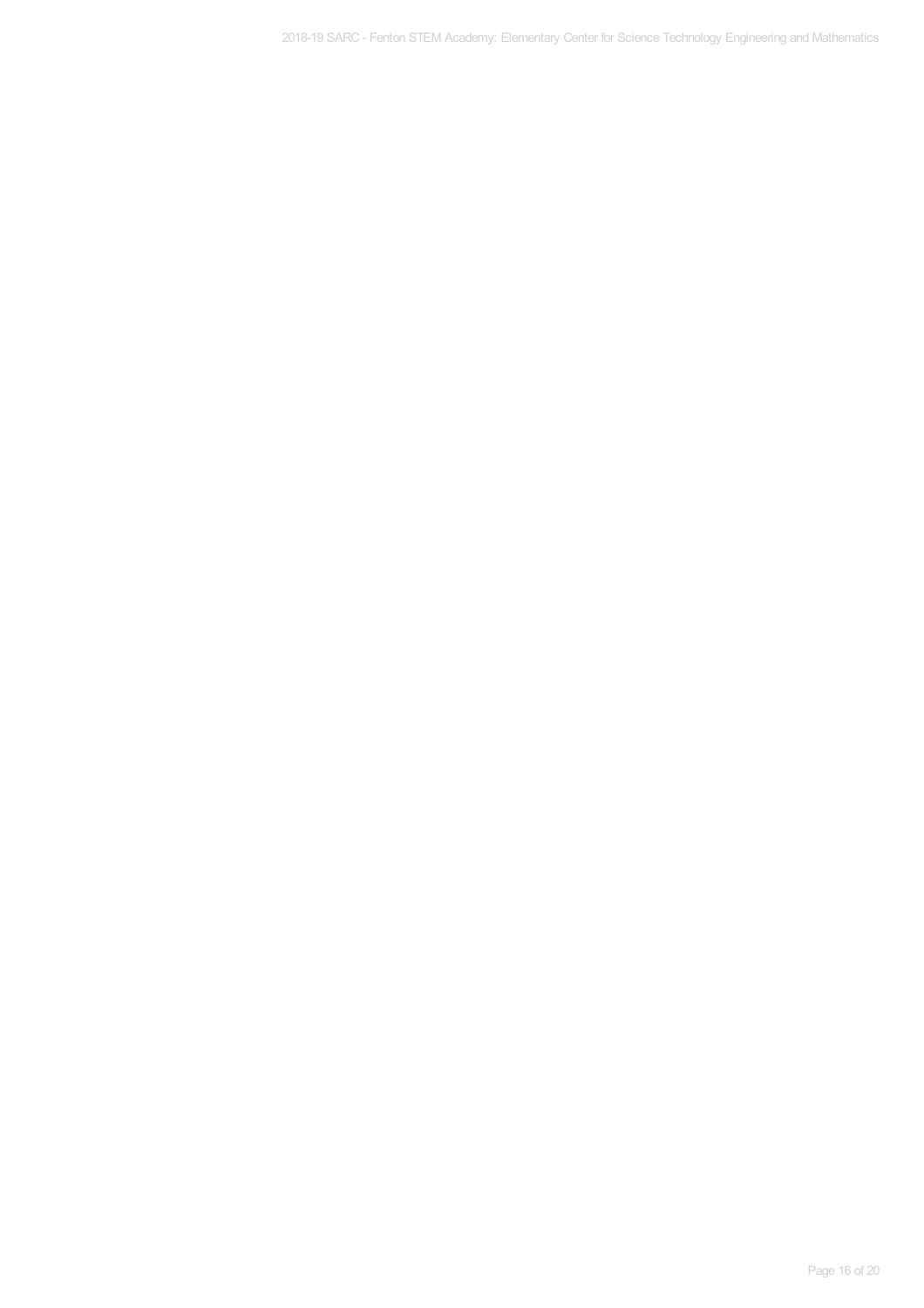2018-19 SARC - Fenton STEM Academy: Elementary Center for Science Technology Engineering and Mathematics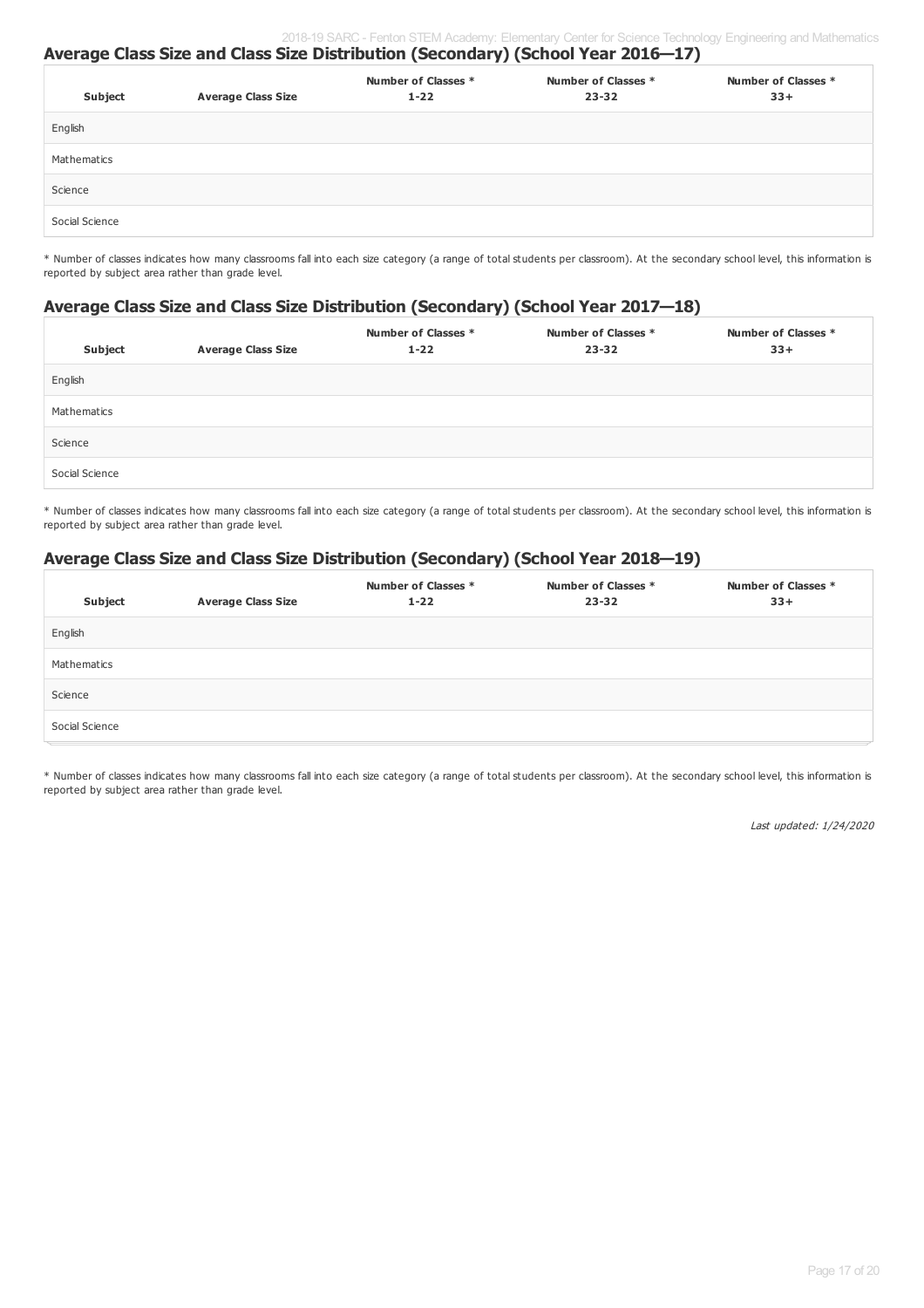|                |                           | Average Class Size and Class Size Distribution (Secondary) (School Tear 2010—17) |                              |                              |
|----------------|---------------------------|----------------------------------------------------------------------------------|------------------------------|------------------------------|
| Subject        | <b>Average Class Size</b> | Number of Classes *<br>$1 - 22$                                                  | Number of Classes *<br>23-32 | Number of Classes *<br>$33+$ |
| English        |                           |                                                                                  |                              |                              |
| Mathematics    |                           |                                                                                  |                              |                              |
| Science        |                           |                                                                                  |                              |                              |
| Social Science |                           |                                                                                  |                              |                              |

\* Number of classes indicates how many classrooms fall into each size category (a range of total students per classroom). At the secondary school level, this information is reported by subject area rather than grade level.

#### **Average Class Size and Class Size Distribution (Secondary) (School Year 2017—18)**

| Subject        | <b>Average Class Size</b> | Number of Classes *<br>$1 - 22$ | Number of Classes *<br>$23 - 32$ | Number of Classes *<br>$33+$ |
|----------------|---------------------------|---------------------------------|----------------------------------|------------------------------|
| English        |                           |                                 |                                  |                              |
| Mathematics    |                           |                                 |                                  |                              |
| Science        |                           |                                 |                                  |                              |
| Social Science |                           |                                 |                                  |                              |

\* Number of classes indicates how many classrooms fall into each size category (a range of total students per classroom). At the secondary school level, this information is reported by subject area rather than grade level.

#### **Average Class Size and Class Size Distribution (Secondary) (School Year 2018—19)**

| Subject        | <b>Average Class Size</b> | Number of Classes *<br>$1 - 22$ | Number of Classes *<br>$23 - 32$ | Number of Classes *<br>$33+$ |
|----------------|---------------------------|---------------------------------|----------------------------------|------------------------------|
| English        |                           |                                 |                                  |                              |
| Mathematics    |                           |                                 |                                  |                              |
| Science        |                           |                                 |                                  |                              |
| Social Science |                           |                                 |                                  |                              |

\* Number of classes indicates how many classrooms fall into each size category (a range of total students per classroom). At the secondary school level, this information is reported by subject area rather than grade level.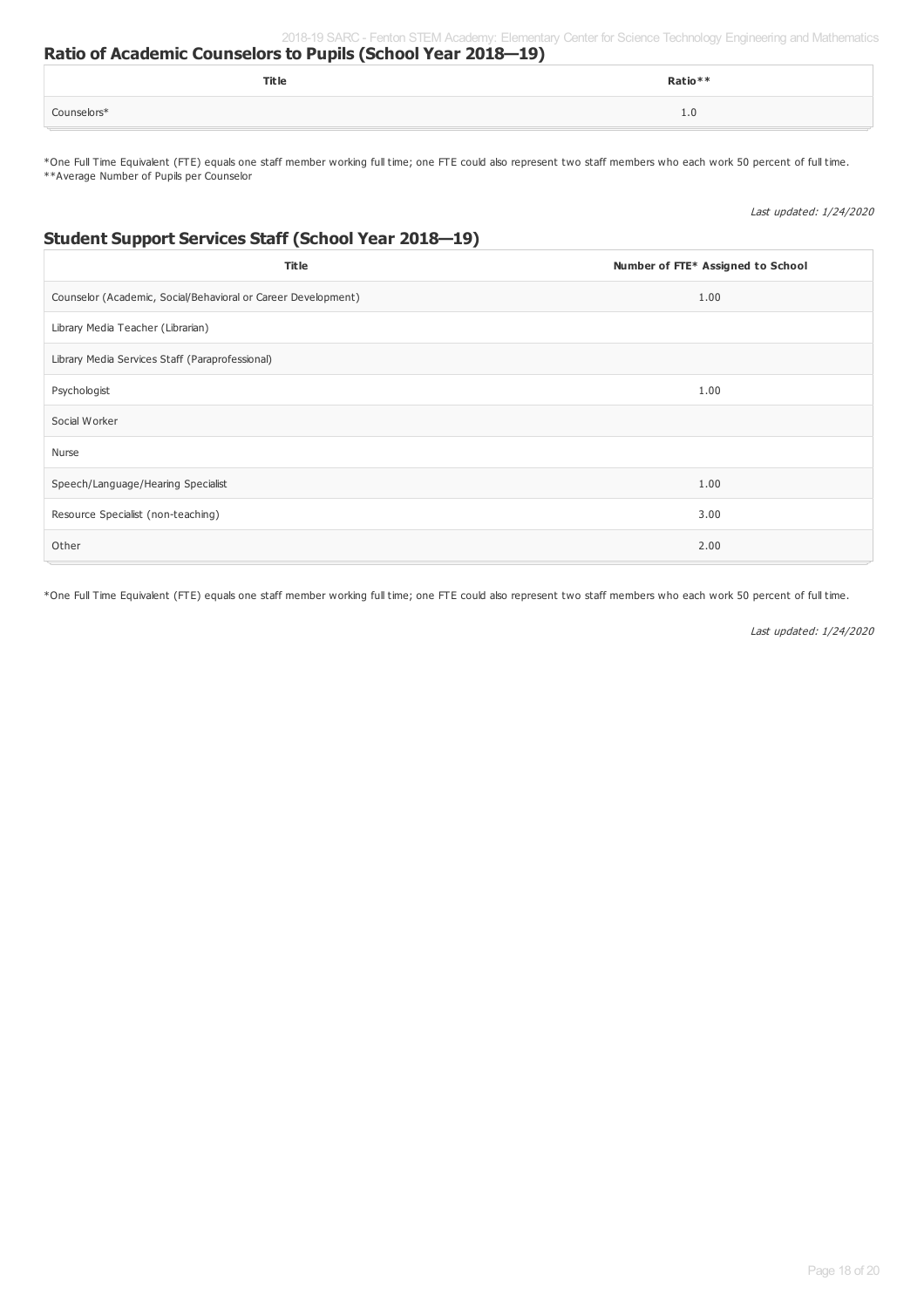2018-19 SARC - Fenton STEM Academy: Elementary Center for Science Technology Engineering and Mathematics

| Ratio of Academic Counselors to Pupils (School Year 2018–19) |           |  |  |  |
|--------------------------------------------------------------|-----------|--|--|--|
| Title                                                        | $Ratio**$ |  |  |  |
| Counselors*                                                  | 1.0       |  |  |  |

\*One Full Time Equivalent (FTE) equals one staff member working full time; one FTE could also represent two staff members who each work 50 percent of full time. \*\*Average Number of Pupils per Counselor

Last updated: 1/24/2020

### **Student Support Services Staff (School Year 2018—19)**

| <b>Title</b>                                                  | Number of FTE* Assigned to School |
|---------------------------------------------------------------|-----------------------------------|
| Counselor (Academic, Social/Behavioral or Career Development) | 1.00                              |
| Library Media Teacher (Librarian)                             |                                   |
| Library Media Services Staff (Paraprofessional)               |                                   |
| Psychologist                                                  | 1.00                              |
| Social Worker                                                 |                                   |
| Nurse                                                         |                                   |
| Speech/Language/Hearing Specialist                            | 1.00                              |
| Resource Specialist (non-teaching)                            | 3.00                              |
| Other                                                         | 2.00                              |

\*One Full Time Equivalent (FTE) equals one staff member working full time; one FTE could also represent two staff members who each work 50 percent of full time.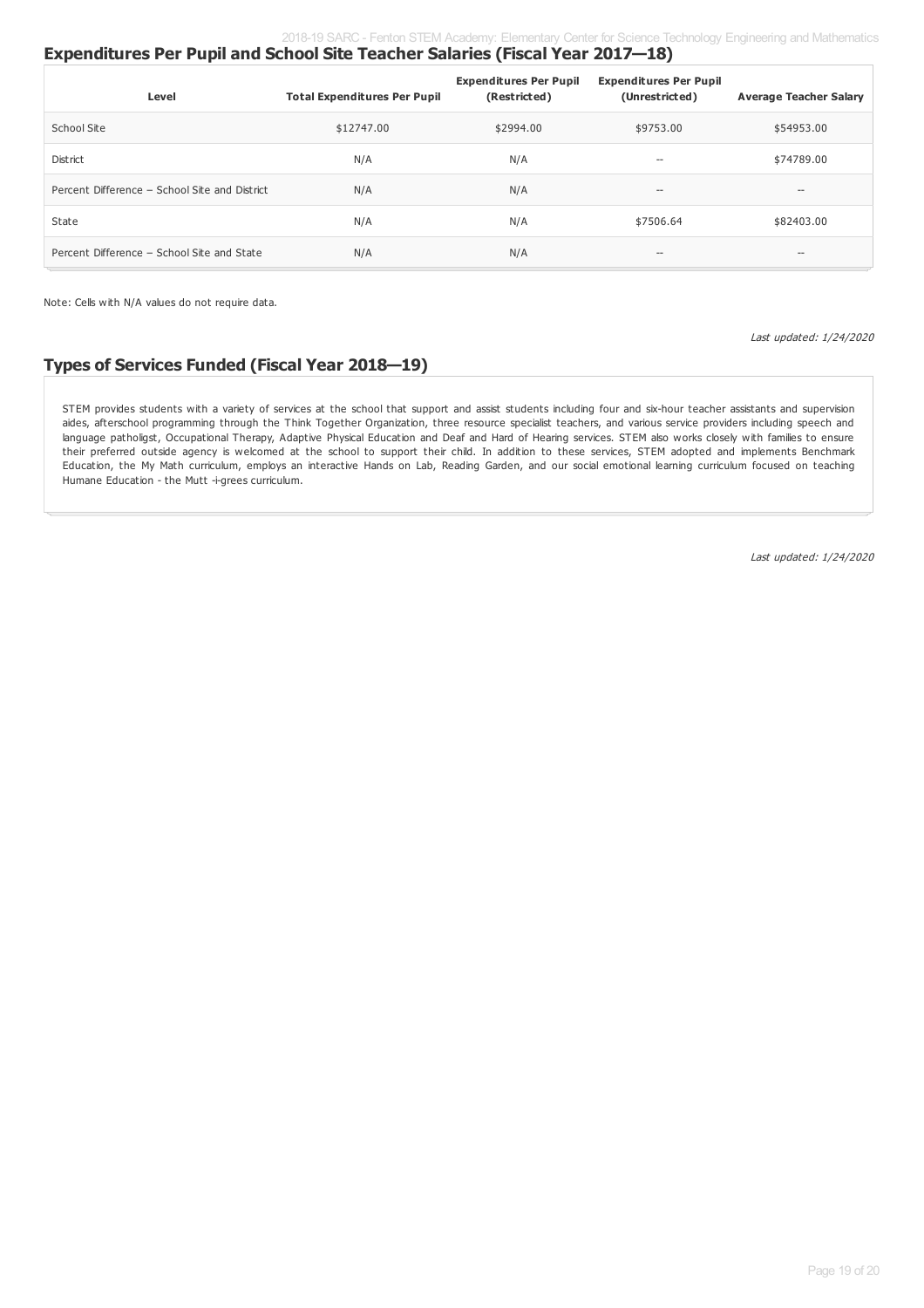#### **Expenditures Per Pupil and School Site Teacher Salaries (Fiscal Year 2017—18)**

| Level                                         | <b>Total Expenditures Per Pupil</b> | <b>Expenditures Per Pupil</b><br>(Restricted) | <b>Expenditures Per Pupil</b><br>(Unrestricted)     | <b>Average Teacher Salary</b> |
|-----------------------------------------------|-------------------------------------|-----------------------------------------------|-----------------------------------------------------|-------------------------------|
| School Site                                   | \$12747.00                          | \$2994.00                                     | \$9753.00                                           | \$54953.00                    |
| District                                      | N/A                                 | N/A                                           | $\hspace{0.05cm} -\hspace{0.05cm} -\hspace{0.05cm}$ | \$74789.00                    |
| Percent Difference - School Site and District | N/A                                 | N/A                                           | $-\!$                                               | $\qquad \qquad \cdots$        |
| State                                         | N/A                                 | N/A                                           | \$7506.64                                           | \$82403.00                    |
| Percent Difference - School Site and State    | N/A                                 | N/A                                           | $\hspace{0.05cm}$                                   | --                            |

Note: Cells with N/A values do not require data.

Last updated: 1/24/2020

### **Types of Services Funded (Fiscal Year 2018—19)**

STEM provides students with a variety of services at the school that support and assist students including four and six-hour teacher assistants and supervision aides, afterschool programming through the Think Together Organization, three resource specialist teachers, and various service providers including speech and language patholigst, Occupational Therapy, Adaptive Physical Education and Deaf and Hard of Hearing services. STEM also works closely with families to ensure their preferred outside agency is welcomed at the school to support their child. In addition to these services, STEM adopted and implements Benchmark Education, the My Math curriculum, employs an interactive Hands on Lab, Reading Garden, and our social emotional learning curriculum focused on teaching Humane Education - the Mutt -i-grees curriculum.